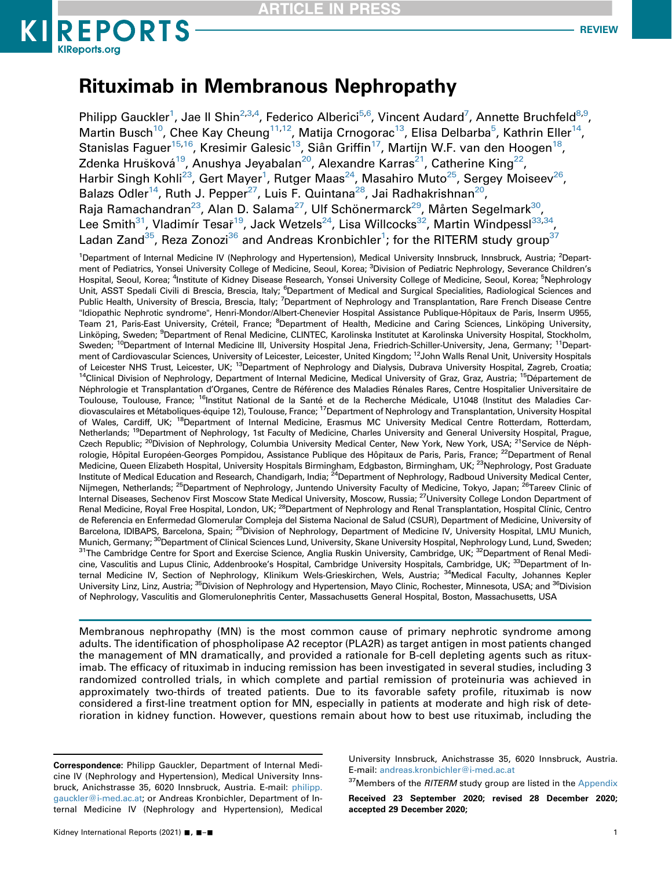

# Rituximab in Membranous Nephropathy

Philipp Gauckler<sup>1</sup>, Jae II Shin<sup>[2](#page-0-0)[,3,](#page-0-1)[4](#page-0-2)</sup>, Federico Alberici<sup>5,[6](#page-0-3)</sup>, Vincent Audard<sup>7</sup>, Annette Bruchfeld<sup>8,[9](#page-0-6)</sup>, Martin Busch $^{10}$  $^{10}$  $^{10}$ , Chee Kay Cheung $^{11,12}$  $^{11,12}$  $^{11,12}$ , Matija Crnogorac $^{13}$  $^{13}$  $^{13}$ , Elisa Delbarba $^5$  $^5$ , Kathrin Eller $^{14}$ , Stanislas Faguer<sup>15,16</sup>, Kresimir Galesic<sup>13</sup>, Siân Griffin<sup>17</sup>, Martijn W.F. van den Hoogen<sup>18</sup>, Zdenka Hrušková<sup>19</sup>, Anushim Bulbeley, Zluli Zimini, Alexandre Karras<sup>21</sup>, Catherine King<sup>22</sup>, Harbir Singh Kohli<sup>23</sup>, Gert Mayer<sup>[1](#page-0-0)</sup>, Rutger Maas<sup>24</sup>, Masahiro Muto<sup>25</sup>, Sergey Moiseev<sup>26</sup>, Balazs Odler<sup>14</sup>, Ruth J. Pepper<sup>27</sup>, Luis F. Quintana<sup>28</sup>, Jai Radhakrishnan<sup>[20](#page-0-15)</sup>, Raja Ramachandran<sup>23</sup>, Alan D. Salama<sup>27</sup>, Ulf Schönermarck<sup>29</sup>, Mårten Segelmark<sup>30</sup>, Lee Smith<sup>[31](#page-0-23)</sup>, Vladimír Tesař<sup>19</sup>, Jack Wetzels<sup>24</sup>, Lisa Willcocks<sup>32</sup>, Martin Windpessl<sup>33[,34](#page-0-26)</sup>, Ladan Zand $^{35}$ , Reza Zonozi $^{36}$  and Andreas Kronbichler $^1$ ; for the RITERM study group $^{37}$  $^{37}$  $^{37}$ 

<span id="page-0-15"></span><span id="page-0-14"></span><span id="page-0-13"></span><span id="page-0-12"></span><span id="page-0-11"></span><span id="page-0-10"></span><span id="page-0-9"></span><span id="page-0-8"></span><span id="page-0-7"></span><span id="page-0-6"></span><span id="page-0-5"></span><span id="page-0-4"></span><span id="page-0-3"></span><span id="page-0-2"></span><span id="page-0-1"></span><span id="page-0-0"></span><sup>1</sup>Department of Internal Medicine IV (Nephrology and Hypertension), Medical University Innsbruck, Innsbruck, Austria; <sup>2</sup>Department of Pediatrics, Yonsei University College of Medicine, Seoul, Korea; <sup>3</sup>Division of Pediatric Nephrology, Severance Children's Hospital, Seoul, Korea; <sup>4</sup>Institute of Kidney Disease Research, Yonsei University College of Medicine, Seoul, Korea; <sup>5</sup>Nephrology Unit, ASST Spedali Civili di Brescia, Brescia, Italy; <sup>6</sup>Department of Medical and Surgical Specialities, Radiological Sciences and Public Health, University of Brescia, Brescia, Italy; <sup>7</sup>Department of Nephrology and Transplantation, Rare French Disease Centre "Idiopathic Nephrotic syndrome", Henri-Mondor/Albert-Chenevier Hospital Assistance Publique-Hôpitaux de Paris, Inserm U955, Team 21, Paris-East University, Créteil, France; <sup>8</sup>Department of Health, Medicine and Caring Sciences, Linköping University, Linköping, Sweden; <sup>9</sup>Department of Renal Medicine, CLINTEC, Karolinska Institutet at Karolinska University Hospital, Stockholm, Sweden; <sup>10</sup>Department of Internal Medicine III, University Hospital Jena, Friedrich-Schiller-University, Jena, Germany; <sup>11</sup>Department of Cardiovascular Sciences, University of Leicester, Leicester, United Kingdom; <sup>12</sup>John Walls Renal Unit, University Hospitals of Leicester NHS Trust, Leicester, UK; <sup>13</sup>Department of Nephrology and Dialysis, Dubrava University Hospital, Zagreb, Croatia;<br><sup>14</sup>Clinical Division of Nephrology, Department of Internal Medicine, Medical University of Gr Néphrologie et Transplantation d'Organes, Centre de Référence des Maladies Rénales Rares, Centre Hospitalier Universitaire de Toulouse, Toulouse, France; <sup>16</sup>Institut National de la Santé et de la Recherche Médicale, U1048 (Institut des Maladies Cardiovasculaires et Métaboliques-équipe 12), Toulouse, France; 17Department of Nephrology and Transplantation, University Hospital of Wales, Cardiff, UK; <sup>18</sup>Department of Internal Medicine, Erasmus MC University Medical Centre Rotterdam, Rotterdam, Netherlands; <sup>19</sup>Department of Nephrology, 1st Faculty of Medicine, Charles University and General University Hospital, Prague, Czech Republic; <sup>20</sup>Division of Nephrology, Columbia University Medical Center, New York, New York, USA; <sup>21</sup>Service de Néphrologie, Hôpital Européen-Georges Pompidou, Assistance Publique des Hôpitaux de Paris, Paris, France; <sup>22</sup>Department of Renal Medicine, Queen Elizabeth Hospital, University Hospitals Birmingham, Edgbaston, Birmingham, UK; <sup>23</sup>Nephrology, Post Graduate Institute of Medical Education and Research, Chandigarh, India; 24Department of Nephrology, Radboud University Medical Center, Nijmegen, Netherlands; <sup>25</sup>Department of Nephrology, Juntendo University Faculty of Medicine, Tokyo, Japan; <sup>26</sup>Tareev Clinic of Internal Diseases, Sechenov First Moscow State Medical University, Moscow, Russia; <sup>27</sup>University College London Department of Renal Medicine, Royal Free Hospital, London, UK; <sup>28</sup>Department of Nephrology and Renal Transplantation, Hospital Clínic, Centro de Referencia en Enfermedad Glomerular Compleja del Sistema Nacional de Salud (CSUR), Department of Medicine, University of Barcelona, IDIBAPS, Barcelona, Spain; 29Division of Nephrology, Department of Medicine IV, University Hospital, LMU Munich, Munich, Germany; <sup>30</sup>Department of Clinical Sciences Lund, University, Skane University Hospital, Nephrology Lund, Lund, Sweden;<br><sup>31</sup>The Cambridge Centre for Sport and Exercise Science, Anglia Ruskin University, Cambridge, cine, Vasculitis and Lupus Clinic, Addenbrooke's Hospital, Cambridge University Hospitals, Cambridge, UK; <sup>33</sup>Department of Internal Medicine IV, Section of Nephrology, Klinikum Wels-Grieskirchen, Wels, Austria; 34Medical Faculty, Johannes Kepler University Linz, Linz, Austria; <sup>35</sup>Division of Nephrology and Hypertension, Mayo Clinic, Rochester, Minnesota, USA; and <sup>36</sup>Division of Nephrology, Vasculitis and Glomerulonephritis Center, Massachusetts General Hospital, Boston, Massachusetts, USA

<span id="page-0-27"></span><span id="page-0-26"></span><span id="page-0-25"></span><span id="page-0-24"></span><span id="page-0-23"></span><span id="page-0-22"></span><span id="page-0-21"></span><span id="page-0-20"></span><span id="page-0-19"></span><span id="page-0-18"></span><span id="page-0-17"></span><span id="page-0-16"></span>Membranous nephropathy (MN) is the most common cause of primary nephrotic syndrome among adults. The identification of phospholipase A2 receptor (PLA2R) as target antigen in most patients changed the management of MN dramatically, and provided a rationale for B-cell depleting agents such as rituximab. The efficacy of rituximab in inducing remission has been investigated in several studies, including 3 randomized controlled trials, in which complete and partial remission of proteinuria was achieved in approximately two-thirds of treated patients. Due to its favorable safety profile, rituximab is now considered a first-line treatment option for MN, especially in patients at moderate and high risk of deterioration in kidney function. However, questions remain about how to best use rituximab, including the

University Innsbruck, Anichstrasse 35, 6020 Innsbruck, Austria. E-mail: [andreas.kronbichler@i-med.ac.at](mailto:andreas.kronbichler@i-med.ac.at)

<span id="page-0-28"></span><sup>37</sup>Members of the RITERM study group are listed in the [Appendix](#page-9-0)

Received 23 September 2020; revised 28 December 2020; accepted 29 December 2020;

Correspondence: Philipp Gauckler, Department of Internal Medicine IV (Nephrology and Hypertension), Medical University Innsbruck, Anichstrasse 35, 6020 Innsbruck, Austria. E-mail: [philipp.](mailto:philipp.gauckler@i-med.ac.at) [gauckler@i-med.ac.at](mailto:philipp.gauckler@i-med.ac.at); or Andreas Kronbichler, Department of Internal Medicine IV (Nephrology and Hypertension), Medical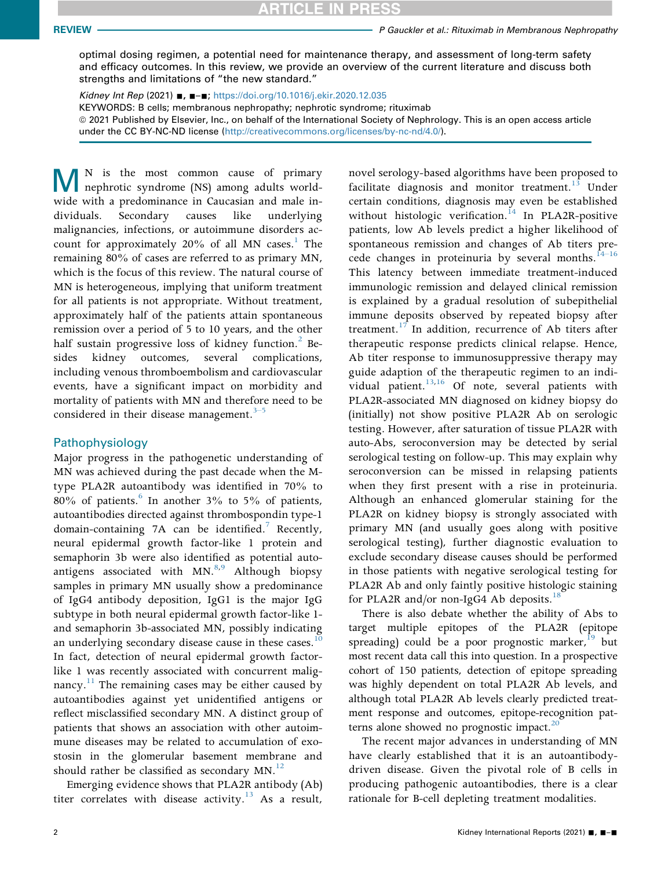optimal dosing regimen, a potential need for maintenance therapy, and assessment of long-term safety and efficacy outcomes. In this review, we provide an overview of the current literature and discuss both strengths and limitations of "the new standard."

Kidney Int Rep (2021) ■, ■–■; <https://doi.org/10.1016/j.ekir.2020.12.035> KEYWORDS: B cells; membranous nephropathy; nephrotic syndrome; rituximab ª 2021 Published by Elsevier, Inc., on behalf of the International Society of Nephrology. This is an open access article under the CC BY-NC-ND license ([http://creativecommons.org/licenses/by-nc-nd/4.0/\)](http://creativecommons.org/licenses/by-nc-nd/4.0/).

MN is the most common cause of primary nephrotic syndrome (NS) among adults worldwide with a predominance in Caucasian and male individuals. Secondary causes like underlying malignancies, infections, or autoimmune disorders account for approximately  $20\%$  of all MN cases.<sup>1</sup> The remaining 80% of cases are referred to as primary MN, which is the focus of this review. The natural course of MN is heterogeneous, implying that uniform treatment for all patients is not appropriate. Without treatment, approximately half of the patients attain spontaneous remission over a period of 5 to 10 years, and the other half sustain progressive loss of kidney function.<sup>[2](#page-9-2)</sup> Besides kidney outcomes, several complications, including venous thromboembolism and cardiovascular events, have a significant impact on morbidity and mortality of patients with MN and there[fore](#page-9-3) need to be considered in their disease management. $3-5$ 

#### Pathophysiology

Major progress in the pathogenetic understanding of MN was achieved during the past decade when the Mtype PLA2R autoantibody was identified in 70% to 80% of patients. In another  $3\%$  to  $5\%$  of patients, autoantibodies directed against thrombospondin type-1 domain-containing [7](#page-9-5)A can be identified.<sup>7</sup> Recently, neural epidermal growth factor-like 1 protein and semaphorin 3b were also identified as potential autoantigens associated with  $MN<sup>8,9</sup>$  $MN<sup>8,9</sup>$  $MN<sup>8,9</sup>$  $MN<sup>8,9</sup>$  Although biopsy samples in primary MN usually show a predominance of IgG4 antibody deposition, IgG1 is the major IgG subtype in both neural epidermal growth factor-like 1 and semaphorin 3b-associated MN, possibly indicating an underlying secondary disease cause in these cases.<sup>10</sup> In fact, detection of neural epidermal growth factorlike 1 was recently associated with concurrent malignancy. $11$  The remaining cases may be either caused by autoantibodies against yet unidentified antigens or reflect misclassified secondary MN. A distinct group of patients that shows an association with other autoimmune diseases may be related to accumulation of exostosin in the glomerular basement membrane and should rather be classified as secondary  $MN$ .<sup>[12](#page-9-10)</sup>

Emerging evidence shows that PLA2R antibody (Ab) titer correlates with disease activity.<sup>13</sup> As a result,

novel serology-based algorithms have been proposed to facilitate diagnosis and monitor treatment.<sup>[13](#page-9-11)</sup> Under certain conditions, diagnosis may even be established without histologic verification.<sup>[14](#page-10-0)</sup> In PLA2R-positive patients, low Ab levels predict a higher likelihood of spontaneous remission and changes of Ab titers precede changes in proteinuria by several months. $14-16$ This latency between immediate treatment-induced immunologic remission and delayed clinical remission is explained by a gradual resolution of subepithelial immune deposits observed by repeated biopsy after treatment.<sup>17</sup> In addition, recurrence of Ab titers after therapeutic response predicts clinical relapse. Hence, Ab titer response to immunosuppressive therapy may guide adaption of the therapeutic regimen to an individual patient. $13,16$  $13,16$  $13,16$  Of note, several patients with PLA2R-associated MN diagnosed on kidney biopsy do (initially) not show positive PLA2R Ab on serologic testing. However, after saturation of tissue PLA2R with auto-Abs, seroconversion may be detected by serial serological testing on follow-up. This may explain why seroconversion can be missed in relapsing patients when they first present with a rise in proteinuria. Although an enhanced glomerular staining for the PLA2R on kidney biopsy is strongly associated with primary MN (and usually goes along with positive serological testing), further diagnostic evaluation to exclude secondary disease causes should be performed in those patients with negative serological testing for PLA2R Ab and only faintly positive histologic staining for PLA2R and/or non-IgG4 Ab deposits.<sup>[18](#page-10-3)</sup>

There is also debate whether the ability of Abs to target multiple epitopes of the PLA2R (epitope spreading) could be a poor prognostic marker, <sup>[19](#page-10-4)</sup> but most recent data call this into question. In a prospective cohort of 150 patients, detection of epitope spreading was highly dependent on total PLA2R Ab levels, and although total PLA2R Ab levels clearly predicted treatment response and outcomes, epitope-recognition patterns alone showed no prognostic impact. $20$ 

The recent major advances in understanding of MN have clearly established that it is an autoantibodydriven disease. Given the pivotal role of B cells in producing pathogenic autoantibodies, there is a clear rationale for B-cell depleting treatment modalities.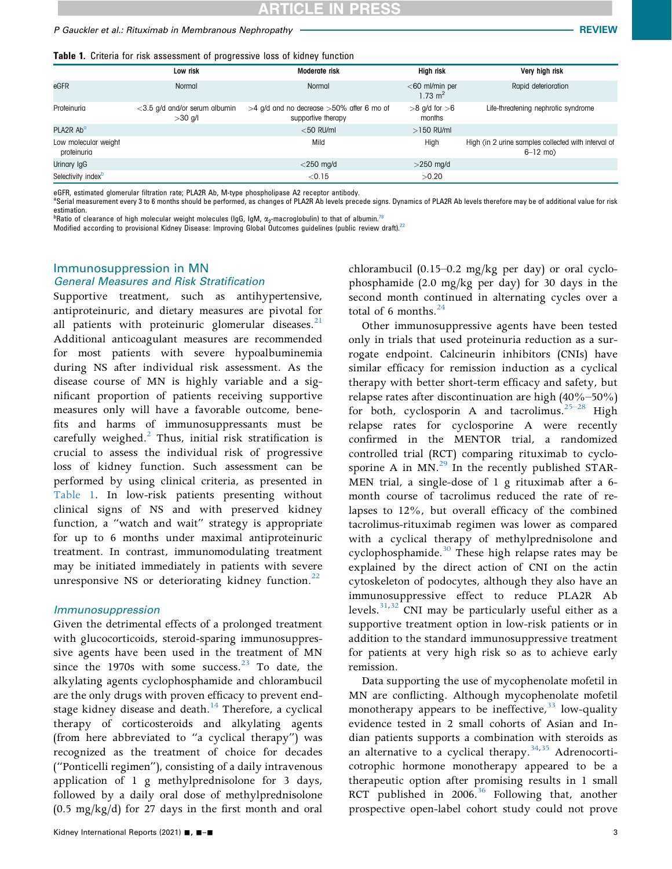<span id="page-2-0"></span>Table 1. Criteria for risk assessment of progressive loss of kidney function

|                                     | Low risk                                   | Moderate risk                                                        | High risk                               | Very high risk                                                      |
|-------------------------------------|--------------------------------------------|----------------------------------------------------------------------|-----------------------------------------|---------------------------------------------------------------------|
| eGFR                                | Normal                                     | Normal                                                               | $<$ 60 ml/min per<br>$1.73 \text{ m}^2$ | Rapid deterioration                                                 |
| Proteinuria                         | <3.5 g/d and/or serum albumin<br>$>30$ g/l | $>4$ g/d and no decrease $>50\%$ after 6 mo of<br>supportive therapy | $>8$ g/d for $>6$<br>months             | Life-threatening nephrotic syndrome                                 |
| PLA2R Ab <sup>a</sup>               |                                            | $<$ 50 RU/ml                                                         | $>150$ RU/ml                            |                                                                     |
| Low molecular weight<br>proteinuria |                                            | Mild                                                                 | High                                    | High (in 2 urine samples collected with interval of<br>$6 - 12$ mo) |
| Urinary IgG                         |                                            | $<$ 250 mg/d                                                         | $>$ 250 mg/d                            |                                                                     |
| Selectivity index <sup>b</sup>      |                                            | < 0.15                                                               | >0.20                                   |                                                                     |

eGFR, estimated glomerular filtration rate; PLA2R Ab, M-type phospholipase A2 receptor antibody.

<span id="page-2-1"></span>Serial measurement every 3 to 6 months should be performed, as changes of PLA2R Ab levels precede signs. Dynamics of PLA2R Ab levels therefore may be of additional value for risk estimation.

<span id="page-2-2"></span> $^{\rm b}$ Ratio of clearance of high molecular weight molecules (IgG, IgM,  $\alpha_2$ -macroglobulin) to that of albumin. $^{78}$  $^{78}$  $^{78}$ 

Modified according to provisional Kidney Disease: Improving Global Outcomes guidelines (public review draft).<sup>[22](#page-10-7)</sup>

#### Immunosuppression in MN General Measures and Risk Stratification

Supportive treatment, such as antihypertensive, antiproteinuric, and dietary measures are pivotal for all patients with proteinuric glomerular diseases. $^{21}$  $^{21}$  $^{21}$ Additional anticoagulant measures are recommended for most patients with severe hypoalbuminemia during NS after individual risk assessment. As the disease course of MN is highly variable and a significant proportion of patients receiving supportive measures only will have a favorable outcome, benefits and harms of immunosuppressants must be carefully weighed. $<sup>2</sup>$  $<sup>2</sup>$  $<sup>2</sup>$  Thus, initial risk stratification is</sup> crucial to assess the individual risk of progressive loss of kidney function. Such assessment can be performed by using clinical criteria, as presented in [Table 1.](#page-2-0) In low-risk patients presenting without clinical signs of NS and with preserved kidney function, a "watch and wait" strategy is appropriate for up to 6 months under maximal antiproteinuric treatment. In contrast, immunomodulating treatment may be initiated immediately in patients with severe unresponsive NS or deteriorating kidney function.<sup>[22](#page-10-7)</sup>

#### Immunosuppression

Given the detrimental effects of a prolonged treatment with glucocorticoids, steroid-sparing immunosuppressive agents have been used in the treatment of MN since the 1970s with some success. $^{23}$  $^{23}$  $^{23}$  To date, the alkylating agents cyclophosphamide and chlorambucil are the only drugs with proven efficacy to prevent end-stage kidney disease and death.<sup>[14](#page-10-0)</sup> Therefore, a cyclical therapy of corticosteroids and alkylating agents (from here abbreviated to "a cyclical therapy") was recognized as the treatment of choice for decades ("Ponticelli regimen"), consisting of a daily intravenous application of 1 g methylprednisolone for 3 days, followed by a daily oral dose of methylprednisolone (0.5 mg/kg/d) for 27 days in the first month and oral

chlorambucil (0.15–0.2 mg/kg per day) or oral cyclophosphamide (2.0 mg/kg per day) for 30 days in the second month continued in alternating cycles over a total of 6 months. $^{24}$  $^{24}$  $^{24}$ 

Other immunosuppressive agents have been tested only in trials that used proteinuria reduction as a surrogate endpoint. Calcineurin inhibitors (CNIs) have similar efficacy for remission induction as a cyclical therapy with better short-term efficacy and safety, but relapse rates after discontinuation are high (40%–50%) for both, cyclosporin A and tacrolimus.<sup>[25](#page-10-10)–28</sup> High relapse rates for cyclosporine A were recently confirmed in the MENTOR trial, a randomized controlled trial (RCT) comparing rituximab to cyclosporine A in  $MN<sup>29</sup>$  In the recently published STAR-MEN trial, a single-dose of 1 g rituximab after a 6 month course of tacrolimus reduced the rate of relapses to 12%, but overall efficacy of the combined tacrolimus-rituximab regimen was lower as compared with a cyclical therapy of methylprednisolone and cyclophosphamide.<sup>[30](#page-10-12)</sup> These high relapse rates may be explained by the direct action of CNI on the actin cytoskeleton of podocytes, although they also have an immunosuppressive effect to reduce PLA2R Ab levels. $31,32$  $31,32$  CNI may be particularly useful either as a supportive treatment option in low-risk patients or in addition to the standard immunosuppressive treatment for patients at very high risk so as to achieve early remission.

Data supporting the use of mycophenolate mofetil in MN are conflicting. Although mycophenolate mofetil monotherapy appears to be ineffective,  $33$  low-quality evidence tested in 2 small cohorts of Asian and Indian patients supports a combination with steroids as an alternative to a cyclical therapy.<sup>[34](#page-10-16)[,35](#page-10-17)</sup> Adrenocorticotrophic hormone monotherapy appeared to be a therapeutic option after promising results in 1 small RCT published in  $2006.^{36}$  Following that, another prospective open-label cohort study could not prove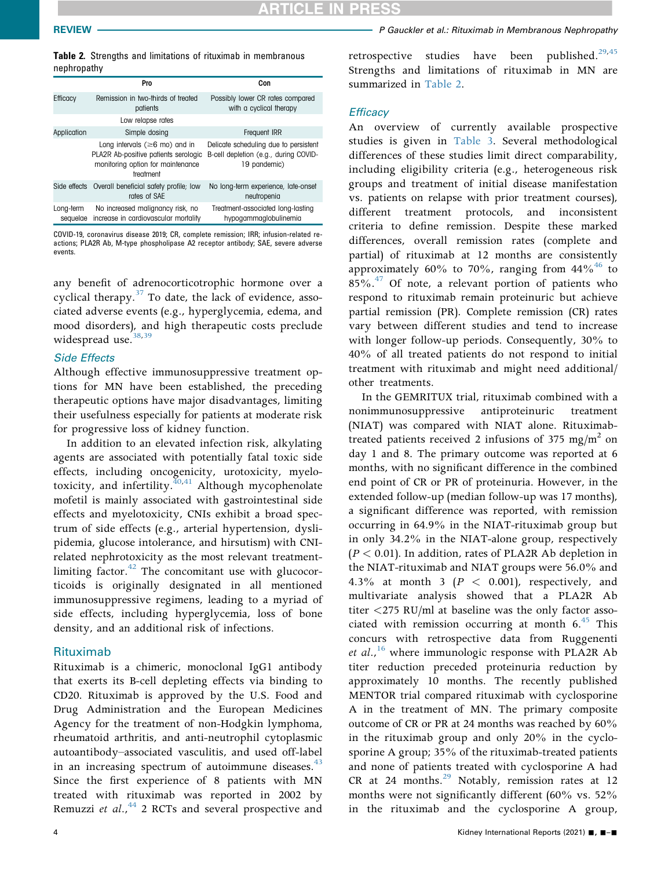REVIEW **PERICIPS REVIEW PERICIPS PERICIPS PGauckler et al.: Rituximab in Membranous Nephropathy** 

<span id="page-3-0"></span>Table 2. Strengths and limitations of rituximab in membranous nephropathy

|                       | Pro                                                                                                                            | Con                                                                                            |  |  |
|-----------------------|--------------------------------------------------------------------------------------------------------------------------------|------------------------------------------------------------------------------------------------|--|--|
| Efficacy              | Remission in two-thirds of treated<br>patients                                                                                 | Possibly lower CR rates compared<br>with a cyclical therapy                                    |  |  |
|                       | Low relapse rates                                                                                                              |                                                                                                |  |  |
| Application           | Simple dosing                                                                                                                  | Frequent IRR                                                                                   |  |  |
|                       | Long intervals ( $\geq 6$ mo) and in<br>PLA2R Ab-positive patients serologic<br>monitoring option for maintenance<br>treatment | Delicate scheduling due to persistent<br>B-cell depletion (e.g., during COVID-<br>19 pandemic) |  |  |
| Side effects          | Overall beneficial safety profile; low<br>rates of SAE                                                                         | No long-term experience, late-onset<br>neutropenia                                             |  |  |
| Long-term<br>sequelae | No increased malignancy risk, no<br>increase in cardiovascular mortality                                                       | Treatment-associated long-lasting<br>hypogammaglobulinemia                                     |  |  |

COVID-19, coronavirus disease 2019; CR, complete remission; IRR; infusion-related reactions; PLA2R Ab, M-type phospholipase A2 receptor antibody; SAE, severe adverse events.

any benefit of adrenocorticotrophic hormone over a cyclical therapy. $37$  To date, the lack of evidence, associated adverse events (e.g., hyperglycemia, edema, and mood disorders), and high therapeutic costs preclude widespread use. $38,39$  $38,39$ 

#### Side Effects

Although effective immunosuppressive treatment options for MN have been established, the preceding therapeutic options have major disadvantages, limiting their usefulness especially for patients at moderate risk for progressive loss of kidney function.

In addition to an elevated infection risk, alkylating agents are associated with potentially fatal toxic side effects, including oncogenicity, urotoxicity, myelotoxicity, and infertility. $40,41$  $40,41$  $40,41$  Although mycophenolate mofetil is mainly associated with gastrointestinal side effects and myelotoxicity, CNIs exhibit a broad spectrum of side effects (e.g., arterial hypertension, dyslipidemia, glucose intolerance, and hirsutism) with CNIrelated nephrotoxicity as the most relevant treatmentlimiting factor. $42$  The concomitant use with glucocorticoids is originally designated in all mentioned immunosuppressive regimens, leading to a myriad of side effects, including hyperglycemia, loss of bone density, and an additional risk of infections.

#### Rituximab

Rituximab is a chimeric, monoclonal IgG1 antibody that exerts its B-cell depleting effects via binding to CD20. Rituximab is approved by the U.S. Food and Drug Administration and the European Medicines Agency for the treatment of non-Hodgkin lymphoma, rheumatoid arthritis, and anti-neutrophil cytoplasmic autoantibody–associated vasculitis, and used off-label in an increasing spectrum of autoimmune diseases. $43$ Since the first experience of 8 patients with MN treated with rituximab was reported in 2002 by Remuzzi et al.,<sup>[44](#page-10-26)</sup> 2 RCTs and several prospective and

retrospective studies have been published.<sup>29[,45](#page-10-27)</sup> Strengths and limitations of rituximab in MN are summarized in [Table 2](#page-3-0).

#### **Efficacy**

An overview of currently available prospective studies is given in [Table 3](#page-4-0). Several methodological differences of these studies limit direct comparability, including eligibility criteria (e.g., heterogeneous risk groups and treatment of initial disease manifestation vs. patients on relapse with prior treatment courses), different treatment protocols, and inconsistent criteria to define remission. Despite these marked differences, overall remission rates (complete and partial) of rituximab at 12 months are consistently approximately 60% to 70%, ranging from  $44\%$ <sup>[46](#page-11-1)</sup> to 85%.[47](#page-11-2) Of note, a relevant portion of patients who respond to rituximab remain proteinuric but achieve partial remission (PR). Complete remission (CR) rates vary between different studies and tend to increase with longer follow-up periods. Consequently, 30% to 40% of all treated patients do not respond to initial treatment with rituximab and might need additional/ other treatments.

In the GEMRITUX trial, rituximab combined with a nonimmunosuppressive antiproteinuric treatment (NIAT) was compared with NIAT alone. Rituximabtreated patients received 2 infusions of 375 mg/m<sup>2</sup> on day 1 and 8. The primary outcome was reported at 6 months, with no significant difference in the combined end point of CR or PR of proteinuria. However, in the extended follow-up (median follow-up was 17 months), a significant difference was reported, with remission occurring in 64.9% in the NIAT-rituximab group but in only 34.2% in the NIAT-alone group, respectively  $(P < 0.01)$ . In addition, rates of PLA2R Ab depletion in the NIAT-rituximab and NIAT groups were 56.0% and 4.3% at month 3 ( $P < 0.001$ ), respectively, and multivariate analysis showed that a PLA2R Ab titer <275 RU/ml at baseline was the only factor associated with remission occurring at month  $6<sup>45</sup>$  $6<sup>45</sup>$  $6<sup>45</sup>$  This concurs with retrospective data from Ruggenenti et al.,<sup>[16](#page-10-2)</sup> where immunologic response with PLA2R Ab titer reduction preceded proteinuria reduction by approximately 10 months. The recently published MENTOR trial compared rituximab with cyclosporine A in the treatment of MN. The primary composite outcome of CR or PR at 24 months was reached by 60% in the rituximab group and only 20% in the cyclosporine A group; 35% of the rituximab-treated patients and none of patients treated with cyclosporine A had CR at 24 months. $^{29}$  $^{29}$  $^{29}$  Notably, remission rates at 12 months were not significantly different (60% vs. 52% in the rituximab and the cyclosporine A group,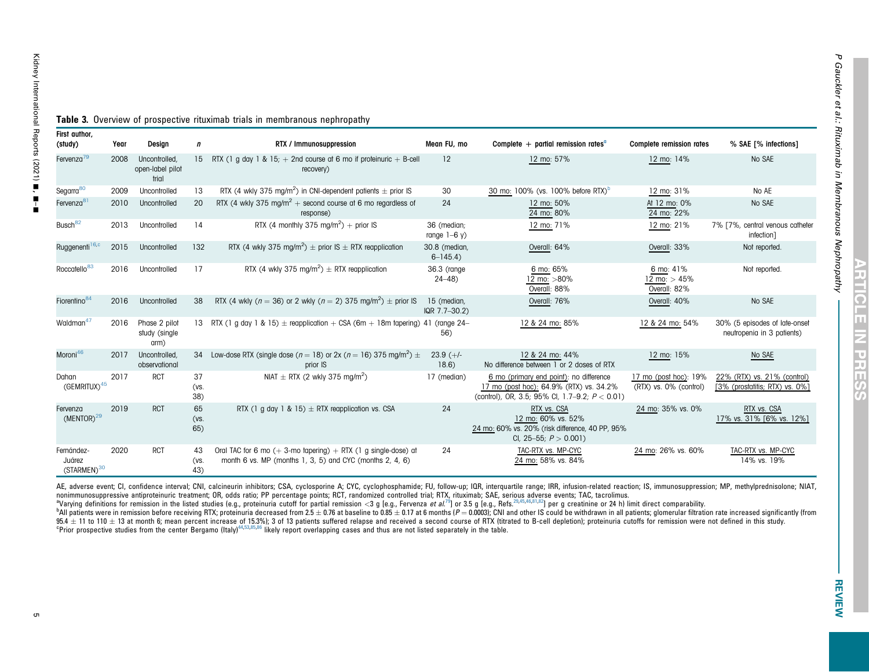<span id="page-4-0"></span>

| vaney<br>nternational I | Table 3.<br>First author, |
|-------------------------|---------------------------|
| Heports                 | (study)                   |
| 2021                    | Έ<br>Fervenza             |
|                         | Segarra                   |
|                         | Fervenza                  |

| Fervenza <sup>79</sup>            | 2008 | Uncontrolled.<br>open-label pilot<br>trial | 15                | RTX (1 g day 1 & 15; $+$ 2nd course at 6 mo if proteinuric $+$ B-cell<br>recovery)                  | 12                             | 12 mo: 57%                                                                                                                              | 12 mo: 14%                                      | No SAE                                                        |
|-----------------------------------|------|--------------------------------------------|-------------------|-----------------------------------------------------------------------------------------------------|--------------------------------|-----------------------------------------------------------------------------------------------------------------------------------------|-------------------------------------------------|---------------------------------------------------------------|
| Segarra <sup>80</sup>             | 2009 | Uncontrolled                               | 13                | RTX (4 wkly 375 mg/m <sup>2</sup> ) in CNI-dependent patients $\pm$ prior IS                        | 30                             | 30 mo: 100% (vs. 100% before RTX) <sup>b</sup>                                                                                          | 12 mo: 31%                                      | No AE                                                         |
| Fervenza <sup>81</sup>            | 2010 | Uncontrolled                               | 20                | RTX (4 wkly 375 mg/m <sup>2</sup> + second course at 6 mo regardless of<br>response)                | 24                             | 12 mo: 50%<br>24 mo: 80%                                                                                                                | At 12 mo: 0%<br>24 mo: 22%                      | No SAE                                                        |
| Busch <sup>82</sup>               | 2013 | Uncontrolled                               | 14                | RTX (4 monthly 375 mg/m <sup>2</sup> ) + prior IS                                                   | 36 (median;<br>range $1-6$ y)  | 12 mo: 71%                                                                                                                              | 12 mo: 21%                                      | 7% [7%, central venous catheter<br>infection]                 |
| Ruggenenti <sup>16,c</sup>        | 2015 | Uncontrolled                               | 132               | RTX (4 wkly 375 mg/m <sup>2</sup> ) $\pm$ prior IS $\pm$ RTX reapplication                          | 30.8 (median,<br>$6 - 145.4$   | Overall: 64%                                                                                                                            | Overall: 33%                                    | Not reported.                                                 |
| Roccatello <sup>83</sup>          | 2016 | Uncontrolled                               | 17                | RTX (4 wkly 375 mg/m <sup>2</sup> ) $\pm$ RTX reapplication                                         | 36.3 (range<br>$24 - 48$       | 6 mo: 65%<br>12 mo: >80%<br>Overall: 88%                                                                                                | 6 mo: 41%<br>12 mo: $> 45%$<br>Overall: 82%     | Not reported.                                                 |
| Fiorentino <sup>84</sup>          | 2016 | Uncontrolled                               | 38                | RTX (4 wkly ( $n = 36$ ) or 2 wkly ( $n = 2$ ) 375 mg/m <sup>2</sup> ) $\pm$ prior IS               | 15 (median,<br>$IQR$ 7.7-30.2) | Overall: 76%                                                                                                                            | Overall: 40%                                    | No SAE                                                        |
| Waldman <sup>47</sup>             | 2016 | Phase 2 pilot<br>study (single<br>arm)     |                   | 13 RTX (1 g day 1 & 15) $\pm$ reapplication $+$ CSA (6m $+$ 18m tapering) 41 (range 24–             | 56)                            | 12 & 24 mo: 85%                                                                                                                         | 12 & 24 mo: 54%                                 | 30% (5 episodes of late-onset<br>neutropenia in 3 patients)   |
| Moroni <sup>46</sup>              | 2017 | Uncontrolled,<br>observational             | 34                | Low-dose RTX (single dose ( $n = 18$ ) or 2x ( $n = 16$ ) 375 mg/m <sup>2</sup> ) $\pm$<br>prior IS | $23.9 (+/-)$<br>18.6)          | 12 & 24 mo: 44%<br>No difference between 1 or 2 doses of RTX                                                                            | 12 mo: 15%                                      | No SAE                                                        |
| Dahan<br>(GEMRITUX) <sup>45</sup> | 2017 | <b>RCT</b>                                 | 37<br>(vs.<br>38) | NIAT $\pm$ RTX (2 wkly 375 mg/m <sup>2</sup> )                                                      | 17 (median)                    | 6 mo (primary end point): no difference<br>17 mo (post hoc): 64.9% (RTX) vs. 34.2%<br>(control), OR, 3.5; 95% Cl, 1.7-9.2; $P < 0.01$ ) | 17 mo (post hoc): 19%<br>(RTX) vs. 0% (control) | 22% (RTX) vs. 21% (control)<br>[3% (prostatitis; RTX) vs. 0%] |
| Fervenza<br>$(MENTOR)^{29}$       | 2019 | <b>RCT</b>                                 | 65<br>(vs.<br>65) | RTX (1 g day 1 & 15) $\pm$ RTX reapplication vs. CSA                                                | 24                             | RTX vs. CSA<br>12 mo: 60% vs. 52%<br>24 mo: 60% vs. 20% (risk difference, 40 PP, 95%                                                    | 24 mo: 35% vs. 0%                               | RTX vs. CSA<br>17% vs. 31% [6% vs. 12%]                       |

Ye[a](#page-4-1)r Design n SAE T% Infections] Near FU, mo Complete + partial remission rates<sup>a</sup> Complete remission rates % SAE T% infections]

## **Table 3.** Overview of prospective rituximab trials in membranous nephropathy

AE, adverse event; CI, confidence interval; CNI, calcineurin inhibitors; CSA, cyclosporine A; CYC, cyclophosphamide; FU, follow-up; IQR, interquartile range; IRR, infusion-related reaction; IS, immunosuppression; MP, methy nonimmunosuppressive antiproteinuric treatment; OR, odds ratio; PP percentage points; RCT, randomized controlled trial; RTX, rituximab; SAE, serious adverse events; TAC, tacrolimus.

CI, 25–55;  $P > 0.001$ )

24 mo: 58% vs. 84%

24 TAC-RTX vs. MP-CYC

Oral TAC for 6 mo  $(+)$  3-mo tapering)  $+$  RTX (1 g single-dose) at month 6 vs. MP (months 1, 3, 5) and CYC (months 2, 4, 6)

\*Varying definitions for remission in the listed studies (e.g., proteinuria cutoff for partial remission <3 g [e.g., Fervenza *et al.*<sup>[79](#page-12-0)</sup>] or 3.5 g [e.g., Ress.<sup>[29,](#page-10-30) gas., Ress.<sup>29, gas.</sup>) per g creatinine or 24 h) limit d</sup> 95.4  $\pm$  11 to 110  $\pm$  13 at month 6; mean percent increase of 15.3%); 3 of 13 patients suffered relapse and received a second course of RTX (titrated to B-cell depletion); proteinuria cutoffs for remission were not def cprior prospective studies from the center Bergamo (Italy)<sup>[44,](#page-10-32)[53](#page-11-5)[,85](#page-12-6),[86](#page-12-7)</sup> likely report overlapping cases and thus are not listed separately in the table.

<span id="page-4-3"></span><span id="page-4-2"></span><span id="page-4-1"></span>TAC-RTX vs. MP-CYC 14% vs. 19%

24 mo: 26% vs. 60%

U, E

Fernández-Juárez(STARMEN)<sup>[30](#page-10-31)</sup> 2020 RCT 43

(vs. 43)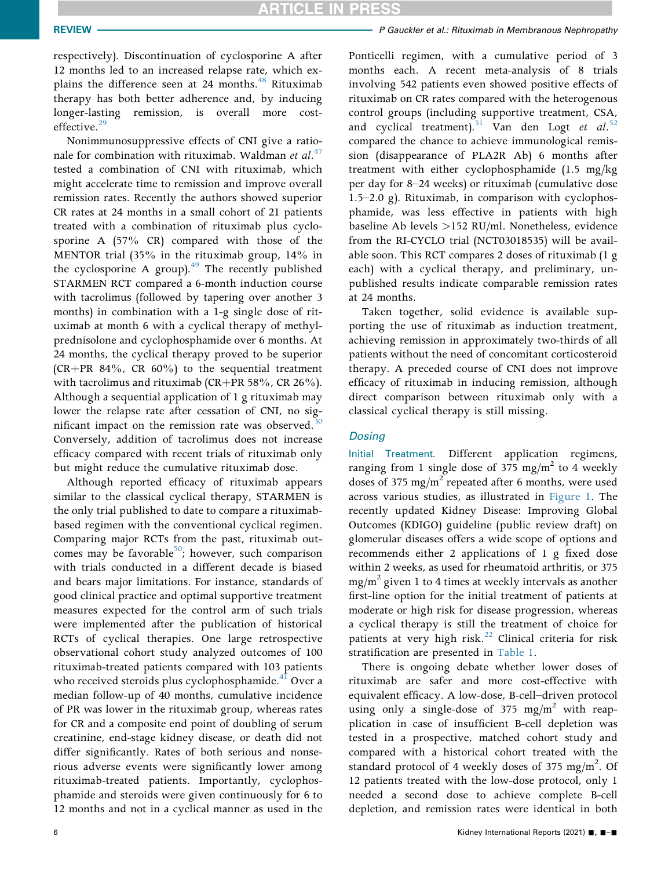respectively). Discontinuation of cyclosporine A after 12 months led to an increased relapse rate, which explains the difference seen at 24 months.<sup>48</sup> Rituximab therapy has both better adherence and, by inducing longer-lasting remission, is overall more cost-effective.<sup>[29](#page-10-11)</sup>

Nonimmunosuppressive effects of CNI give a rationale for combination with rituximab. Waldman et  $al^{47}$  $al^{47}$  $al^{47}$ . tested a combination of CNI with rituximab, which might accelerate time to remission and improve overall remission rates. Recently the authors showed superior CR rates at 24 months in a small cohort of 21 patients treated with a combination of rituximab plus cyclosporine A (57% CR) compared with those of the MENTOR trial (35% in the rituximab group, 14% in the cyclosporine A group). $49$  The recently published STARMEN RCT compared a 6-month induction course with tacrolimus (followed by tapering over another 3 months) in combination with a 1-g single dose of rituximab at month 6 with a cyclical therapy of methylprednisolone and cyclophosphamide over 6 months. At 24 months, the cyclical therapy proved to be superior  $(CR+PR 84\%, CR 60\%)$  to the sequential treatment with tacrolimus and rituximab (CR+PR 58%, CR 26%). Although a sequential application of 1 g rituximab may lower the relapse rate after cessation of CNI, no significant impact on the remission rate was observed. $30$ Conversely, addition of tacrolimus does not increase efficacy compared with recent trials of rituximab only but might reduce the cumulative rituximab dose.

Although reported efficacy of rituximab appears similar to the classical cyclical therapy, STARMEN is the only trial published to date to compare a rituximabbased regimen with the conventional cyclical regimen. Comparing major RCTs from the past, rituximab outcomes may be favorable $50$ ; however, such comparison with trials conducted in a different decade is biased and bears major limitations. For instance, standards of good clinical practice and optimal supportive treatment measures expected for the control arm of such trials were implemented after the publication of historical RCTs of cyclical therapies. One large retrospective observational cohort study analyzed outcomes of 100 rituximab-treated patients compared with 103 patients who received steroids plus cyclophosphamide.<sup>[41](#page-10-23)</sup> Over a median follow-up of 40 months, cumulative incidence of PR was lower in the rituximab group, whereas rates for CR and a composite end point of doubling of serum creatinine, end-stage kidney disease, or death did not differ significantly. Rates of both serious and nonserious adverse events were significantly lower among rituximab-treated patients. Importantly, cyclophosphamide and steroids were given continuously for 6 to 12 months and not in a cyclical manner as used in the

Ponticelli regimen, with a cumulative period of 3 months each. A recent meta-analysis of 8 trials involving 542 patients even showed positive effects of rituximab on CR rates compared with the heterogenous control groups (including supportive treatment, CSA, and cyclical treatment).<sup>[51](#page-11-9)</sup> Van den Logt et al.<sup>[52](#page-11-10)</sup> compared the chance to achieve immunological remission (disappearance of PLA2R Ab) 6 months after treatment with either cyclophosphamide (1.5 mg/kg per day for 8–24 weeks) or rituximab (cumulative dose 1.5–2.0 g). Rituximab, in comparison with cyclophosphamide, was less effective in patients with high baseline Ab levels >152 RU/ml. Nonetheless, evidence from the RI-CYCLO trial (NCT03018535) will be available soon. This RCT compares 2 doses of rituximab (1 g each) with a cyclical therapy, and preliminary, unpublished results indicate comparable remission rates at 24 months.

Taken together, solid evidence is available supporting the use of rituximab as induction treatment, achieving remission in approximately two-thirds of all patients without the need of concomitant corticosteroid therapy. A preceded course of CNI does not improve efficacy of rituximab in inducing remission, although direct comparison between rituximab only with a classical cyclical therapy is still missing.

#### **Dosing**

Initial Treatment. Different application regimens, ranging from 1 single dose of 375 mg/m<sup>2</sup> to 4 weekly doses of 375 mg/m<sup>2</sup> repeated after 6 months, were used across various studies, as illustrated in [Figure 1](#page-7-0). The recently updated Kidney Disease: Improving Global Outcomes (KDIGO) guideline (public review draft) on glomerular diseases offers a wide scope of options and recommends either 2 applications of 1 g fixed dose within 2 weeks, as used for rheumatoid arthritis, or 375 mg/m<sup>2</sup> given 1 to 4 times at weekly intervals as another first-line option for the initial treatment of patients at moderate or high risk for disease progression, whereas a cyclical therapy is still the treatment of choice for patients at very high risk.<sup>[22](#page-10-7)</sup> Clinical criteria for risk stratification are presented in [Table 1](#page-2-0).

There is ongoing debate whether lower doses of rituximab are safer and more cost-effective with equivalent efficacy. A low-dose, B-cell–driven protocol using only a single-dose of 375 mg/m<sup>2</sup> with reapplication in case of insufficient B-cell depletion was tested in a prospective, matched cohort study and compared with a historical cohort treated with the standard protocol of 4 weekly doses of 375 mg/m<sup>2</sup>. Of 12 patients treated with the low-dose protocol, only 1 needed a second dose to achieve complete B-cell depletion, and remission rates were identical in both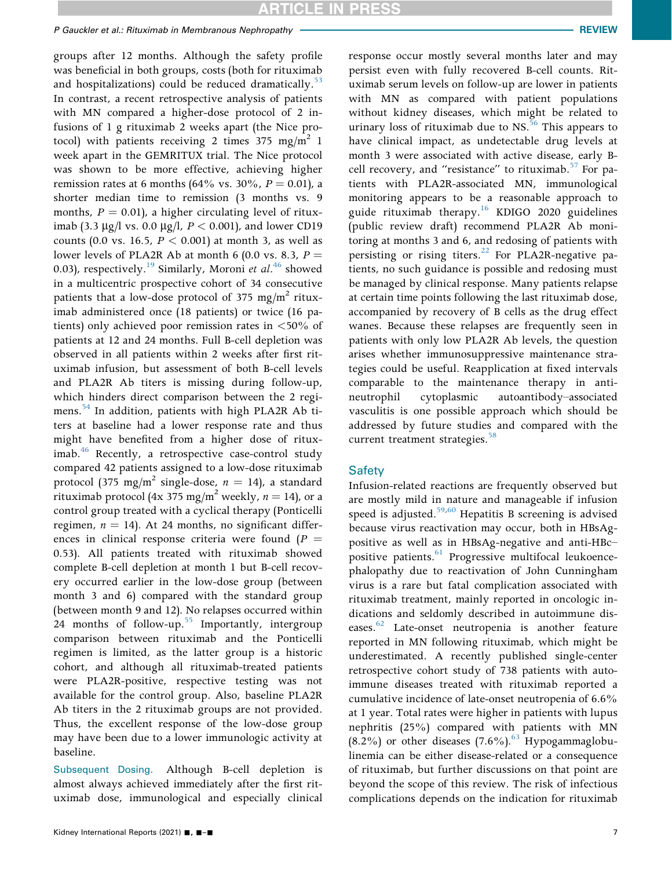### P Gauckler et al.: Rituximab in Membranous Nephropathy **REVIEW Review of Australian Construction** REVIEW

groups after 12 months. Although the safety profile was beneficial in both groups, costs (both for rituximab and hospitalizations) could be reduced dramatically. $53$ In contrast, a recent retrospective analysis of patients with MN compared a higher-dose protocol of 2 infusions of 1 g rituximab 2 weeks apart (the Nice protocol) with patients receiving 2 times 375 mg/m<sup>2</sup> 1 week apart in the GEMRITUX trial. The Nice protocol was shown to be more effective, achieving higher remission rates at 6 months (64% vs. 30%,  $P = 0.01$ ), a shorter median time to remission (3 months vs. 9 months,  $P = 0.01$ , a higher circulating level of rituximab (3.3 µg/l vs. 0.0 µg/l,  $P < 0.001$ ), and lower CD19 counts (0.0 vs. 16.5,  $P < 0.001$ ) at month 3, as well as lower levels of PLA2R Ab at month 6 (0.0 vs. 8.3,  $P =$ 0.03), respectively.<sup>19</sup> Similarly, Moroni et al.<sup>[46](#page-11-1)</sup> showed in a multicentric prospective cohort of 34 consecutive patients that a low-dose protocol of 375 mg/m<sup>2</sup> rituximab administered once (18 patients) or twice (16 patients) only achieved poor remission rates in <50% of patients at 12 and 24 months. Full B-cell depletion was observed in all patients within 2 weeks after first rituximab infusion, but assessment of both B-cell levels and PLA2R Ab titers is missing during follow-up, which hinders direct comparison between the 2 regi-mens.<sup>[54](#page-11-12)</sup> In addition, patients with high PLA2R Ab titers at baseline had a lower response rate and thus might have benefited from a higher dose of rituximab. $46$  Recently, a retrospective case-control study compared 42 patients assigned to a low-dose rituximab protocol (375 mg/m<sup>2</sup> single-dose,  $n = 14$ ), a standard rituximab protocol (4x 375 mg/m<sup>2</sup> weekly,  $n = 14$ ), or a control group treated with a cyclical therapy (Ponticelli regimen,  $n = 14$ ). At 24 months, no significant differences in clinical response criteria were found  $(P =$ 0.53). All patients treated with rituximab showed complete B-cell depletion at month 1 but B-cell recovery occurred earlier in the low-dose group (between month 3 and 6) compared with the standard group (between month 9 and 12). No relapses occurred within 24 months of follow-up.<sup>[55](#page-11-13)</sup> Importantly, intergroup comparison between rituximab and the Ponticelli regimen is limited, as the latter group is a historic cohort, and although all rituximab-treated patients were PLA2R-positive, respective testing was not available for the control group. Also, baseline PLA2R Ab titers in the 2 rituximab groups are not provided. Thus, the excellent response of the low-dose group may have been due to a lower immunologic activity at baseline.

Subsequent Dosing. Although B-cell depletion is almost always achieved immediately after the first rituximab dose, immunological and especially clinical

response occur mostly several months later and may persist even with fully recovered B-cell counts. Rituximab serum levels on follow-up are lower in patients with MN as compared with patient populations without kidney diseases, which might be related to urinary loss of rituximab due to  $NS$ <sup>[56](#page-11-14)</sup> This appears to have clinical impact, as undetectable drug levels at month 3 were associated with active disease, early Bcell recovery, and "resistance" to rituximab.<sup>57</sup> For patients with PLA2R-associated MN, immunological monitoring appears to be a reasonable approach to guide rituximab therapy.<sup>[16](#page-10-2)</sup> KDIGO 2020 guidelines (public review draft) recommend PLA2R Ab monitoring at months 3 and 6, and redosing of patients with persisting or rising titers. $^{22}$  For PLA2R-negative patients, no such guidance is possible and redosing must be managed by clinical response. Many patients relapse at certain time points following the last rituximab dose, accompanied by recovery of B cells as the drug effect wanes. Because these relapses are frequently seen in patients with only low PLA2R Ab levels, the question arises whether immunosuppressive maintenance strategies could be useful. Reapplication at fixed intervals comparable to the maintenance therapy in antineutrophil cytoplasmic autoantibody–associated vasculitis is one possible approach which should be addressed by future studies and compared with the current treatment strategies.<sup>[58](#page-11-16)</sup>

#### **Safety**

Infusion-related reactions are frequently observed but are mostly mild in nature and manageable if infusion speed is adjusted. $59,60$  $59,60$  Hepatitis B screening is advised because virus reactivation may occur, both in HBsAgpositive as well as in HBsAg-negative and anti-HBc– positive patients.<sup>61</sup> Progressive multifocal leukoencephalopathy due to reactivation of John Cunningham virus is a rare but fatal complication associated with rituximab treatment, mainly reported in oncologic indications and seldomly described in autoimmune dis-eases.<sup>[62](#page-11-20)</sup> Late-onset neutropenia is another feature reported in MN following rituximab, which might be underestimated. A recently published single-center retrospective cohort study of 738 patients with autoimmune diseases treated with rituximab reported a cumulative incidence of late-onset neutropenia of 6.6% at 1 year. Total rates were higher in patients with lupus nephritis (25%) compared with patients with MN  $(8.2\%)$  or other diseases  $(7.6\%)$ . <sup>[63](#page-11-21)</sup> Hypogammaglobulinemia can be either disease-related or a consequence of rituximab, but further discussions on that point are beyond the scope of this review. The risk of infectious complications depends on the indication for rituximab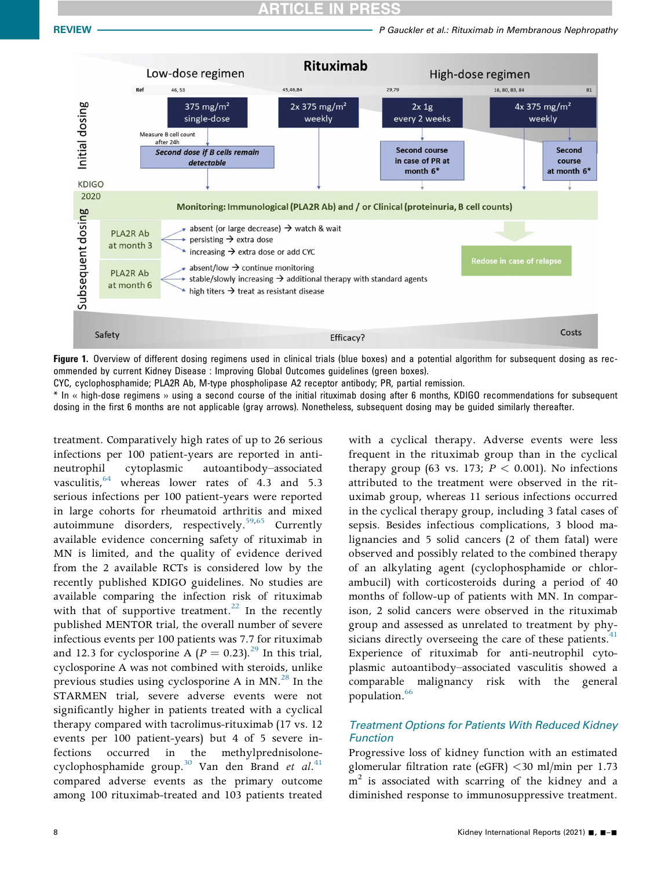<span id="page-7-0"></span>

Figure 1. Overview of different dosing regimens used in clinical trials (blue boxes) and a potential algorithm for subsequent dosing as recommended by current Kidney Disease : Improving Global Outcomes guidelines (green boxes).

CYC, cyclophosphamide; PLA2R Ab, M-type phospholipase A2 receptor antibody; PR, partial remission.

\* In « high-dose regimens » using a second course of the initial rituximab dosing after 6 months, KDIGO recommendations for subsequent dosing in the first 6 months are not applicable (gray arrows). Nonetheless, subsequent dosing may be guided similarly thereafter.

treatment. Comparatively high rates of up to 26 serious infections per 100 patient-years are reported in antineutrophil cytoplasmic autoantibody–associated vasculitis, <sup>64</sup> whereas lower rates of 4.3 and 5.3 serious infections per 100 patient-years were reported in large cohorts for rheumatoid arthritis and mixed autoimmune disorders, respectively.<sup>[59](#page-11-17),[65](#page-11-23)</sup> Currently available evidence concerning safety of rituximab in MN is limited, and the quality of evidence derived from the 2 available RCTs is considered low by the recently published KDIGO guidelines. No studies are available comparing the infection risk of rituximab with that of supportive treatment.<sup>[22](#page-10-7)</sup> In the recently published MENTOR trial, the overall number of severe infectious events per 100 patients was 7.7 for rituximab and 12.3 for cyclosporine A ( $P = 0.23$ ).<sup>[29](#page-10-11)</sup> In this trial, cyclosporine A was not combined with steroids, unlike previous studies using cyclosporine A in  $MN<sup>28</sup>$  $MN<sup>28</sup>$  $MN<sup>28</sup>$  In the STARMEN trial, severe adverse events were not significantly higher in patients treated with a cyclical therapy compared with tacrolimus-rituximab (17 vs. 12 events per 100 patient-years) but 4 of 5 severe infections occurred in the methylprednisolone-cyclophosphamide group.<sup>30</sup> Van den Brand et al.<sup>[41](#page-10-23)</sup> compared adverse events as the primary outcome among 100 rituximab-treated and 103 patients treated

with a cyclical therapy. Adverse events were less frequent in the rituximab group than in the cyclical therapy group (63 vs. 173;  $P < 0.001$ ). No infections attributed to the treatment were observed in the rituximab group, whereas 11 serious infections occurred in the cyclical therapy group, including 3 fatal cases of sepsis. Besides infectious complications, 3 blood malignancies and 5 solid cancers (2 of them fatal) were observed and possibly related to the combined therapy of an alkylating agent (cyclophosphamide or chlorambucil) with corticosteroids during a period of 40 months of follow-up of patients with MN. In comparison, 2 solid cancers were observed in the rituximab group and assessed as unrelated to treatment by physicians directly overseeing the care of these patients.<sup>4</sup> Experience of rituximab for anti-neutrophil cytoplasmic autoantibody–associated vasculitis showed a comparable malignancy risk with the general population.<sup>[66](#page-11-24)</sup>

### Treatment Options for Patients With Reduced Kidney Function

Progressive loss of kidney function with an estimated glomerular filtration rate (eGFR) <30 ml/min per 1.73  $m<sup>2</sup>$  is associated with scarring of the kidney and a diminished response to immunosuppressive treatment.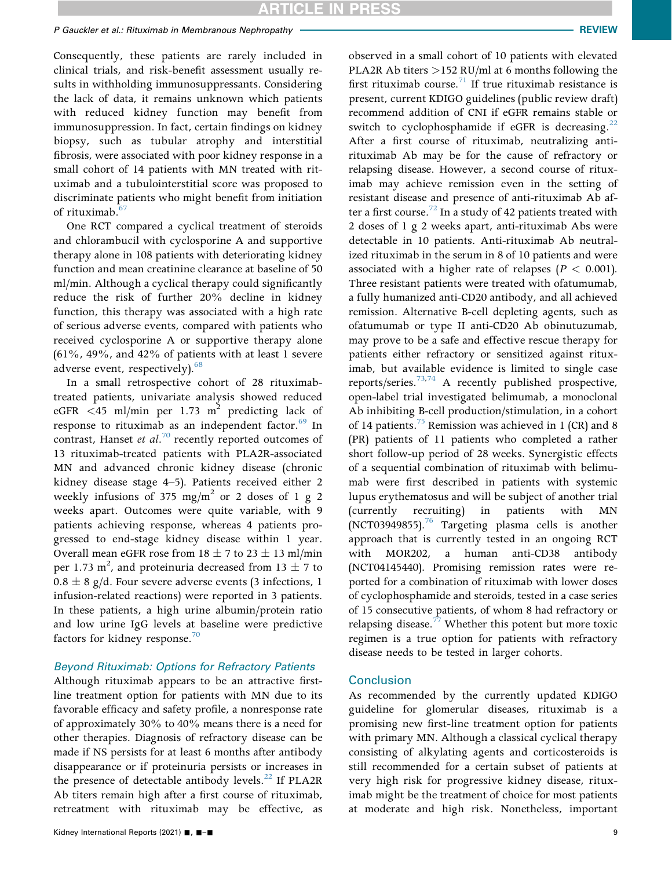Consequently, these patients are rarely included in clinical trials, and risk-benefit assessment usually results in withholding immunosuppressants. Considering the lack of data, it remains unknown which patients with reduced kidney function may benefit from immunosuppression. In fact, certain findings on kidney biopsy, such as tubular atrophy and interstitial fibrosis, were associated with poor kidney response in a small cohort of 14 patients with MN treated with rituximab and a tubulointerstitial score was proposed to discriminate patients who might benefit from initiation of rituximab.<sup>67</sup>

One RCT compared a cyclical treatment of steroids and chlorambucil with cyclosporine A and supportive therapy alone in 108 patients with deteriorating kidney function and mean creatinine clearance at baseline of 50 ml/min. Although a cyclical therapy could significantly reduce the risk of further 20% decline in kidney function, this therapy was associated with a high rate of serious adverse events, compared with patients who received cyclosporine A or supportive therapy alone (61%, 49%, and 42% of patients with at least 1 severe adverse event, respectively). $68$ 

In a small retrospective cohort of 28 rituximabtreated patients, univariate analysis showed reduced eGFR <45 ml/min per 1.73  $m^2$  predicting lack of response to rituximab as an independent factor.<sup>[69](#page-11-27)</sup> In contrast, Hanset et  $al.^{70}$  $al.^{70}$  $al.^{70}$  recently reported outcomes of 13 rituximab-treated patients with PLA2R-associated MN and advanced chronic kidney disease (chronic kidney disease stage 4–5). Patients received either 2 weekly infusions of 375 mg/m<sup>2</sup> or 2 doses of 1 g 2 weeks apart. Outcomes were quite variable, with 9 patients achieving response, whereas 4 patients progressed to end-stage kidney disease within 1 year. Overall mean eGFR rose from  $18 \pm 7$  to  $23 \pm 13$  ml/min per 1.73 m<sup>2</sup>, and proteinuria decreased from  $13 \pm 7$  to  $0.8 \pm 8$  g/d. Four severe adverse events (3 infections, 1 infusion-related reactions) were reported in 3 patients. In these patients, a high urine albumin/protein ratio and low urine IgG levels at baseline were predictive factors for kidney response.<sup>[70](#page-11-28)</sup>

#### Beyond Rituximab: Options for Refractory Patients

Although rituximab appears to be an attractive firstline treatment option for patients with MN due to its favorable efficacy and safety profile, a nonresponse rate of approximately 30% to 40% means there is a need for other therapies. Diagnosis of refractory disease can be made if NS persists for at least 6 months after antibody disappearance or if proteinuria persists or increases in the presence of detectable antibody levels. $^{22}$  $^{22}$  $^{22}$  If PLA2R Ab titers remain high after a first course of rituximab, retreatment with rituximab may be effective, as

observed in a small cohort of 10 patients with elevated PLA2R Ab titers >152 RU/ml at 6 months following the first rituximab course.<sup>[71](#page-11-29)</sup> If true rituximab resistance is present, current KDIGO guidelines (public review draft) recommend addition of CNI if eGFR remains stable or switch to cyclophosphamide if eGFR is decreasing. $22$ After a first course of rituximab, neutralizing antirituximab Ab may be for the cause of refractory or relapsing disease. However, a second course of rituximab may achieve remission even in the setting of resistant disease and presence of anti-rituximab Ab af-ter a first course.<sup>[72](#page-11-30)</sup> In a study of 42 patients treated with 2 doses of 1 g 2 weeks apart, anti-rituximab Abs were detectable in 10 patients. Anti-rituximab Ab neutralized rituximab in the serum in 8 of 10 patients and were associated with a higher rate of relapses ( $P < 0.001$ ). Three resistant patients were treated with ofatumumab, a fully humanized anti-CD20 antibody, and all achieved remission. Alternative B-cell depleting agents, such as ofatumumab or type II anti-CD20 Ab obinutuzumab, may prove to be a safe and effective rescue therapy for patients either refractory or sensitized against rituximab, but available evidence is limited to single case reports/series.[73](#page-11-31)[,74](#page-11-32) A recently published prospective, open-label trial investigated belimumab, a monoclonal Ab inhibiting B-cell production/stimulation, in a cohort of 14 patients.<sup>[75](#page-11-33)</sup> Remission was achieved in 1 (CR) and 8 (PR) patients of 11 patients who completed a rather short follow-up period of 28 weeks. Synergistic effects of a sequential combination of rituximab with belimumab were first described in patients with systemic lupus erythematosus and will be subject of another trial (currently recruiting) in patients with MN (NCT03949855).<sup>76</sup> Targeting plasma cells is another approach that is currently tested in an ongoing RCT with MOR202, a human anti-CD38 antibody (NCT04145440). Promising remission rates were reported for a combination of rituximab with lower doses of cyclophosphamide and steroids, tested in a case series of 15 consecutive patients, of whom 8 had refractory or relapsing disease.<sup>77</sup> Whether this potent but more toxic regimen is a true option for patients with refractory disease needs to be tested in larger cohorts.

#### **Conclusion**

As recommended by the currently updated KDIGO guideline for glomerular diseases, rituximab is a promising new first-line treatment option for patients with primary MN. Although a classical cyclical therapy consisting of alkylating agents and corticosteroids is still recommended for a certain subset of patients at very high risk for progressive kidney disease, rituximab might be the treatment of choice for most patients at moderate and high risk. Nonetheless, important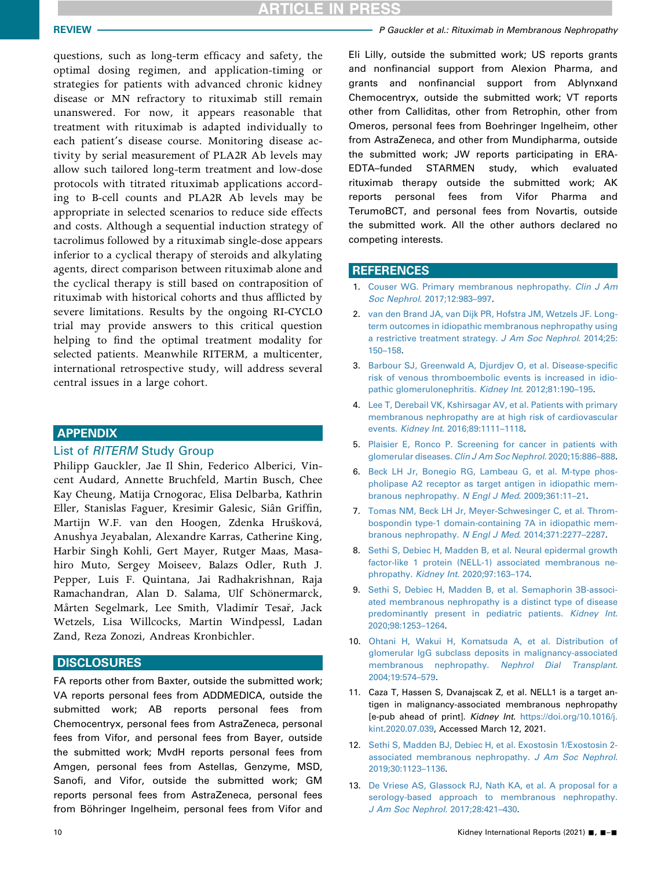# **ICLE IN PRESS**

questions, such as long-term efficacy and safety, the optimal dosing regimen, and application-timing or strategies for patients with advanced chronic kidney disease or MN refractory to rituximab still remain unanswered. For now, it appears reasonable that treatment with rituximab is adapted individually to each patient's disease course. Monitoring disease activity by serial measurement of PLA2R Ab levels may allow such tailored long-term treatment and low-dose protocols with titrated rituximab applications according to B-cell counts and PLA2R Ab levels may be appropriate in selected scenarios to reduce side effects and costs. Although a sequential induction strategy of tacrolimus followed by a rituximab single-dose appears inferior to a cyclical therapy of steroids and alkylating agents, direct comparison between rituximab alone and the cyclical therapy is still based on contraposition of rituximab with historical cohorts and thus afflicted by severe limitations. Results by the ongoing RI-CYCLO trial may provide answers to this critical question helping to find the optimal treatment modality for selected patients. Meanwhile RITERM, a multicenter, international retrospective study, will address several central issues in a large cohort.

#### <span id="page-9-0"></span>APPENDIX

#### List of RITERM Study Group

Philipp Gauckler, Jae Il Shin, Federico Alberici, Vincent Audard, Annette Bruchfeld, Martin Busch, Chee Kay Cheung, Matija Crnogorac, Elisa Delbarba, Kathrin Eller, Stanislas Faguer, Kresimir Galesic, Siân Griffin, Martijn W.F. van den Hoogen, Zdenka Hrusková, Anushya Jeyabalan, Alexandre Karras, Catherine King, Harbir Singh Kohli, Gert Mayer, Rutger Maas, Masahiro Muto, Sergey Moiseev, Balazs Odler, Ruth J. Pepper, Luis F. Quintana, Jai Radhakrishnan, Raja Ramachandran, Alan D. Salama, Ulf Schönermarck, Mårten Segelmark, Lee Smith, Vladimír Tesař, Jack Wetzels, Lisa Willcocks, Martin Windpessl, Ladan Zand, Reza Zonozi, Andreas Kronbichler.

### **DISCLOSURES**

FA reports other from Baxter, outside the submitted work; VA reports personal fees from ADDMEDICA, outside the submitted work; AB reports personal fees from Chemocentryx, personal fees from AstraZeneca, personal fees from Vifor, and personal fees from Bayer, outside the submitted work; MvdH reports personal fees from Amgen, personal fees from Astellas, Genzyme, MSD, Sanofi, and Vifor, outside the submitted work; GM reports personal fees from AstraZeneca, personal fees from Böhringer Ingelheim, personal fees from Vifor and

Eli Lilly, outside the submitted work; US reports grants and nonfinancial support from Alexion Pharma, and grants and nonfinancial support from Ablynxand Chemocentryx, outside the submitted work; VT reports other from Calliditas, other from Retrophin, other from Omeros, personal fees from Boehringer Ingelheim, other from AstraZeneca, and other from Mundipharma, outside the submitted work; JW reports participating in ERA-EDTA–funded STARMEN study, which evaluated rituximab therapy outside the submitted work; AK reports personal fees from Vifor Pharma and TerumoBCT, and personal fees from Novartis, outside the submitted work. All the other authors declared no competing interests.

#### **REFERENCES**

- <span id="page-9-1"></span>1. [Couser WG. Primary membranous nephropathy.](http://refhub.elsevier.com/S2468-0249(20)31869-6/sref1) Clin J Am Soc Nephrol[. 2017;12:983](http://refhub.elsevier.com/S2468-0249(20)31869-6/sref1)–997.
- <span id="page-9-2"></span>2. [van den Brand JA, van Dijk PR, Hofstra JM, Wetzels JF. Long](http://refhub.elsevier.com/S2468-0249(20)31869-6/sref2)[term outcomes in idiopathic membranous nephropathy using](http://refhub.elsevier.com/S2468-0249(20)31869-6/sref2) [a restrictive treatment strategy.](http://refhub.elsevier.com/S2468-0249(20)31869-6/sref2) J Am Soc Nephrol. 2014;25: 150–[158.](http://refhub.elsevier.com/S2468-0249(20)31869-6/sref2)
- <span id="page-9-3"></span>3. [Barbour SJ, Greenwald A, Djurdjev O, et al. Disease-speci](http://refhub.elsevier.com/S2468-0249(20)31869-6/sref4)fic [risk of venous thromboembolic events is increased in idio](http://refhub.elsevier.com/S2468-0249(20)31869-6/sref4)[pathic glomerulonephritis.](http://refhub.elsevier.com/S2468-0249(20)31869-6/sref4) Kidney Int. 2012;81:190–195.
- 4. [Lee T, Derebail VK, Kshirsagar AV, et al. Patients with primary](http://refhub.elsevier.com/S2468-0249(20)31869-6/sref5) [membranous nephropathy are at high risk of cardiovascular](http://refhub.elsevier.com/S2468-0249(20)31869-6/sref5) events. Kidney Int[. 2016;89:1111](http://refhub.elsevier.com/S2468-0249(20)31869-6/sref5)–1118.
- 5. [Plaisier E, Ronco P. Screening for cancer in patients with](http://refhub.elsevier.com/S2468-0249(20)31869-6/sref6) glomerular diseases. [Clin J Am Soc Nephrol](http://refhub.elsevier.com/S2468-0249(20)31869-6/sref6). 2020;15:886–888.
- <span id="page-9-4"></span>6. [Beck LH Jr, Bonegio RG, Lambeau G, et al. M-type phos](http://refhub.elsevier.com/S2468-0249(20)31869-6/sref7)[pholipase A2 receptor as target antigen in idiopathic mem](http://refhub.elsevier.com/S2468-0249(20)31869-6/sref7)[branous nephropathy.](http://refhub.elsevier.com/S2468-0249(20)31869-6/sref7) N Engl J Med. 2009;361:11–21.
- <span id="page-9-5"></span>7. [Tomas NM, Beck LH Jr, Meyer-Schwesinger C, et al. Throm](http://refhub.elsevier.com/S2468-0249(20)31869-6/sref8)[bospondin type-1 domain-containing 7A in idiopathic mem](http://refhub.elsevier.com/S2468-0249(20)31869-6/sref8)[branous nephropathy.](http://refhub.elsevier.com/S2468-0249(20)31869-6/sref8) N Engl J Med. 2014;371:2277–2287.
- <span id="page-9-6"></span>8. [Sethi S, Debiec H, Madden B, et al. Neural epidermal growth](http://refhub.elsevier.com/S2468-0249(20)31869-6/sref9) [factor-like 1 protein \(NELL-1\) associated membranous ne](http://refhub.elsevier.com/S2468-0249(20)31869-6/sref9)phropathy. Kidney Int[. 2020;97:163](http://refhub.elsevier.com/S2468-0249(20)31869-6/sref9)–174.
- <span id="page-9-7"></span>9. [Sethi S, Debiec H, Madden B, et al. Semaphorin 3B-associ](http://refhub.elsevier.com/S2468-0249(20)31869-6/sref10)[ated membranous nephropathy is a distinct type of disease](http://refhub.elsevier.com/S2468-0249(20)31869-6/sref10) [predominantly present in pediatric patients.](http://refhub.elsevier.com/S2468-0249(20)31869-6/sref10) Kidney Int. [2020;98:1253](http://refhub.elsevier.com/S2468-0249(20)31869-6/sref10)–1264.
- <span id="page-9-8"></span>10. [Ohtani H, Wakui H, Komatsuda A, et al. Distribution of](http://refhub.elsevier.com/S2468-0249(20)31869-6/sref11) [glomerular IgG subclass deposits in malignancy-associated](http://refhub.elsevier.com/S2468-0249(20)31869-6/sref11) [membranous nephropathy.](http://refhub.elsevier.com/S2468-0249(20)31869-6/sref11) Nephrol Dial Transplant. [2004;19:574](http://refhub.elsevier.com/S2468-0249(20)31869-6/sref11)–579.
- <span id="page-9-9"></span>11. Caza T, Hassen S, Dvanajscak Z, et al. NELL1 is a target antigen in malignancy-associated membranous nephropathy [e-pub ahead of print]. Kidney Int. [https://doi.org/10.1016/j.](https://doi.org/10.1016/j.kint.2020.07.039) [kint.2020.07.039](https://doi.org/10.1016/j.kint.2020.07.039), Accessed March 12, 2021.
- <span id="page-9-10"></span>12. [Sethi S, Madden BJ, Debiec H, et al. Exostosin 1/Exostosin 2](http://refhub.elsevier.com/S2468-0249(20)31869-6/sref13) [associated membranous nephropathy.](http://refhub.elsevier.com/S2468-0249(20)31869-6/sref13) J Am Soc Nephrol. [2019;30:1123](http://refhub.elsevier.com/S2468-0249(20)31869-6/sref13)–1136.
- <span id="page-9-11"></span>13. [De Vriese AS, Glassock RJ, Nath KA, et al. A proposal for a](http://refhub.elsevier.com/S2468-0249(20)31869-6/sref14) [serology-based approach to membranous nephropathy.](http://refhub.elsevier.com/S2468-0249(20)31869-6/sref14) [J Am Soc Nephrol](http://refhub.elsevier.com/S2468-0249(20)31869-6/sref14). 2017;28:421–430.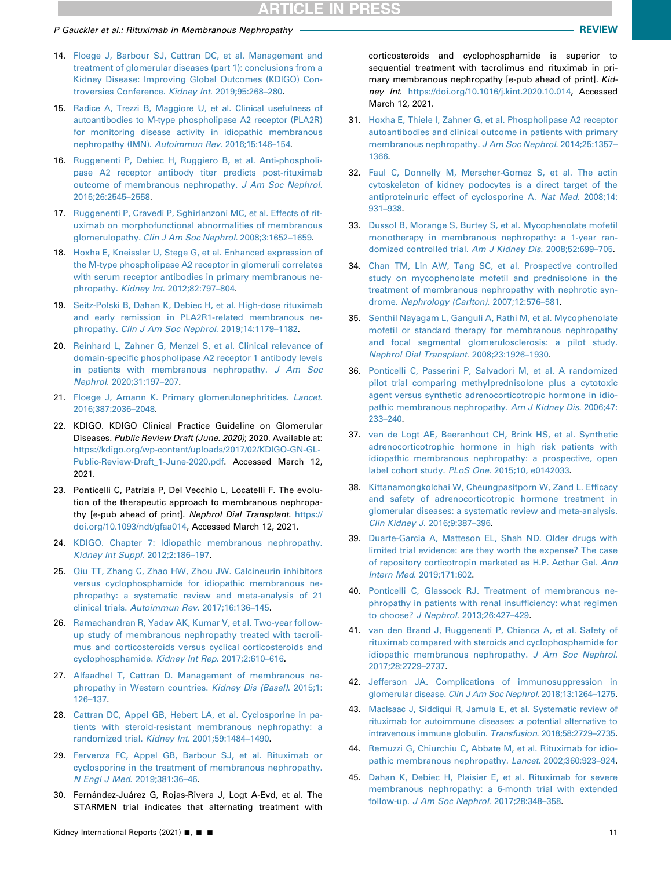#### P Gauckler et al.: Rituximab in Membranous Nephropathy **REVIEW Review of Alliance Control of Alliance REVIEW**

- <span id="page-10-31"></span><span id="page-10-30"></span><span id="page-10-0"></span>14. [Floege J, Barbour SJ, Cattran DC, et al. Management and](http://refhub.elsevier.com/S2468-0249(20)31869-6/sref15) [treatment of glomerular diseases \(part 1\): conclusions from a](http://refhub.elsevier.com/S2468-0249(20)31869-6/sref15) [Kidney Disease: Improving Global Outcomes \(KDIGO\) Con](http://refhub.elsevier.com/S2468-0249(20)31869-6/sref15)[troversies Conference.](http://refhub.elsevier.com/S2468-0249(20)31869-6/sref15) Kidney Int. 2019;95:268–280.
- 15. [Radice A, Trezzi B, Maggiore U, et al. Clinical usefulness of](http://refhub.elsevier.com/S2468-0249(20)31869-6/sref16) [autoantibodies to M-type phospholipase A2 receptor \(PLA2R\)](http://refhub.elsevier.com/S2468-0249(20)31869-6/sref16) [for monitoring disease activity in idiopathic membranous](http://refhub.elsevier.com/S2468-0249(20)31869-6/sref16) [nephropathy \(IMN\).](http://refhub.elsevier.com/S2468-0249(20)31869-6/sref16) Autoimmun Rev. 2016;15:146–154.
- <span id="page-10-2"></span>16. [Ruggenenti P, Debiec H, Ruggiero B, et al. Anti-phospholi](http://refhub.elsevier.com/S2468-0249(20)31869-6/sref17)[pase A2 receptor antibody titer predicts post-rituximab](http://refhub.elsevier.com/S2468-0249(20)31869-6/sref17) [outcome of membranous nephropathy.](http://refhub.elsevier.com/S2468-0249(20)31869-6/sref17) J Am Soc Nephrol. [2015;26:2545](http://refhub.elsevier.com/S2468-0249(20)31869-6/sref17)–2558.
- <span id="page-10-1"></span>17. [Ruggenenti P, Cravedi P, Sghirlanzoni MC, et al. Effects of rit](http://refhub.elsevier.com/S2468-0249(20)31869-6/sref18)[uximab on morphofunctional abnormalities of membranous](http://refhub.elsevier.com/S2468-0249(20)31869-6/sref18) glomerulopathy. [Clin J Am Soc Nephrol](http://refhub.elsevier.com/S2468-0249(20)31869-6/sref18). 2008;3:1652-1659.
- <span id="page-10-3"></span>18. [Hoxha E, Kneissler U, Stege G, et al. Enhanced expression of](http://refhub.elsevier.com/S2468-0249(20)31869-6/sref19) [the M-type phospholipase A2 receptor in glomeruli correlates](http://refhub.elsevier.com/S2468-0249(20)31869-6/sref19) [with serum receptor antibodies in primary membranous ne](http://refhub.elsevier.com/S2468-0249(20)31869-6/sref19)phropathy. Kidney Int[. 2012;82:797](http://refhub.elsevier.com/S2468-0249(20)31869-6/sref19)–804.
- <span id="page-10-4"></span>19. [Seitz-Polski B, Dahan K, Debiec H, et al. High-dose rituximab](http://refhub.elsevier.com/S2468-0249(20)31869-6/sref20) [and early remission in PLA2R1-related membranous ne](http://refhub.elsevier.com/S2468-0249(20)31869-6/sref20)phropathy. [Clin J Am Soc Nephrol](http://refhub.elsevier.com/S2468-0249(20)31869-6/sref20). 2019;14:1179–1182.
- <span id="page-10-32"></span><span id="page-10-29"></span><span id="page-10-5"></span>20. [Reinhard L, Zahner G, Menzel S, et al. Clinical relevance of](http://refhub.elsevier.com/S2468-0249(20)31869-6/sref21) domain-specifi[c phospholipase A2 receptor 1 antibody levels](http://refhub.elsevier.com/S2468-0249(20)31869-6/sref21) [in patients with membranous nephropathy.](http://refhub.elsevier.com/S2468-0249(20)31869-6/sref21) J Am Soc Nephrol[. 2020;31:197](http://refhub.elsevier.com/S2468-0249(20)31869-6/sref21)–207.
- <span id="page-10-6"></span>21. [Floege J, Amann K. Primary glomerulonephritides.](http://refhub.elsevier.com/S2468-0249(20)31869-6/sref22) Lancet. [2016;387:2036](http://refhub.elsevier.com/S2468-0249(20)31869-6/sref22)–2048.
- <span id="page-10-7"></span>22. KDIGO. KDIGO Clinical Practice Guideline on Glomerular Diseases. Public Review Draft (June. 2020): 2020. Available at: [https://kdigo.org/wp-content/uploads/2017/02/KDIGO-GN-GL-](https://kdigo.org/wp-content/uploads/2017/02/KDIGO-GN-GL-Public-Review-Draft_1-June-2020.pdf)[Public-Review-Draft\\_1-June-2020.pdf](https://kdigo.org/wp-content/uploads/2017/02/KDIGO-GN-GL-Public-Review-Draft_1-June-2020.pdf). Accessed March 12, 2021.
- <span id="page-10-8"></span>23. Ponticelli C, Patrizia P, Del Vecchio L, Locatelli F. The evolution of the therapeutic approach to membranous nephropathy [e-pub ahead of print]. Nephrol Dial Transplant. [https://](https://doi.org/10.1093/ndt/gfaa014) [doi.org/10.1093/ndt/gfaa014](https://doi.org/10.1093/ndt/gfaa014), Accessed March 12, 2021.
- <span id="page-10-9"></span>24. [KDIGO. Chapter 7: Idiopathic membranous nephropathy.](http://refhub.elsevier.com/S2468-0249(20)31869-6/sref25) [Kidney Int Suppl](http://refhub.elsevier.com/S2468-0249(20)31869-6/sref25). 2012;2:186–197.
- <span id="page-10-10"></span>25. [Qiu TT, Zhang C, Zhao HW, Zhou JW. Calcineurin inhibitors](http://refhub.elsevier.com/S2468-0249(20)31869-6/sref26) [versus cyclophosphamide for idiopathic membranous ne](http://refhub.elsevier.com/S2468-0249(20)31869-6/sref26)[phropathy: a systematic review and meta-analysis of 21](http://refhub.elsevier.com/S2468-0249(20)31869-6/sref26) clinical trials. [Autoimmun Rev](http://refhub.elsevier.com/S2468-0249(20)31869-6/sref26). 2017;16:136–145.
- 26. [Ramachandran R, Yadav AK, Kumar V, et al. Two-year follow](http://refhub.elsevier.com/S2468-0249(20)31869-6/sref27)[up study of membranous nephropathy treated with tacroli](http://refhub.elsevier.com/S2468-0249(20)31869-6/sref27)[mus and corticosteroids versus cyclical corticosteroids and](http://refhub.elsevier.com/S2468-0249(20)31869-6/sref27) [cyclophosphamide.](http://refhub.elsevier.com/S2468-0249(20)31869-6/sref27) Kidney Int Rep. 2017;2:610–616.
- 27. [Alfaadhel T, Cattran D. Management of membranous ne](http://refhub.elsevier.com/S2468-0249(20)31869-6/sref28)[phropathy in Western countries.](http://refhub.elsevier.com/S2468-0249(20)31869-6/sref28) Kidney Dis (Basel). 2015;1: [126](http://refhub.elsevier.com/S2468-0249(20)31869-6/sref28)–137.
- <span id="page-10-33"></span>28. [Cattran DC, Appel GB, Hebert LA, et al. Cyclosporine in pa](http://refhub.elsevier.com/S2468-0249(20)31869-6/sref29)[tients with steroid-resistant membranous nephropathy: a](http://refhub.elsevier.com/S2468-0249(20)31869-6/sref29) [randomized trial.](http://refhub.elsevier.com/S2468-0249(20)31869-6/sref29) Kidney Int. 2001;59:1484–1490.
- <span id="page-10-11"></span>29. [Fervenza FC, Appel GB, Barbour SJ, et al. Rituximab or](http://refhub.elsevier.com/S2468-0249(20)31869-6/sref30) [cyclosporine in the treatment of membranous nephropathy.](http://refhub.elsevier.com/S2468-0249(20)31869-6/sref30) [N Engl J Med](http://refhub.elsevier.com/S2468-0249(20)31869-6/sref30). 2019;381:36–46.
- <span id="page-10-12"></span>30. Fernández-Juárez G, Rojas-Rivera J, Logt A-Evd, et al. The STARMEN trial indicates that alternating treatment with

<span id="page-10-28"></span>corticosteroids and cyclophosphamide is superior to sequential treatment with tacrolimus and rituximab in primary membranous nephropathy [e-pub ahead of print]. Kidney Int. <https://doi.org/10.1016/j.kint.2020.10.014>, Accessed March 12, 2021.

- <span id="page-10-13"></span>31. [Hoxha E, Thiele I, Zahner G, et al. Phospholipase A2 receptor](http://refhub.elsevier.com/S2468-0249(20)31869-6/sref32) [autoantibodies and clinical outcome in patients with primary](http://refhub.elsevier.com/S2468-0249(20)31869-6/sref32) [membranous nephropathy.](http://refhub.elsevier.com/S2468-0249(20)31869-6/sref32) J Am Soc Nephrol. 2014;25:1357– [1366.](http://refhub.elsevier.com/S2468-0249(20)31869-6/sref32)
- <span id="page-10-14"></span>32. [Faul C, Donnelly M, Merscher-Gomez S, et al. The actin](http://refhub.elsevier.com/S2468-0249(20)31869-6/sref33) [cytoskeleton of kidney podocytes is a direct target of the](http://refhub.elsevier.com/S2468-0249(20)31869-6/sref33) [antiproteinuric effect of cyclosporine A.](http://refhub.elsevier.com/S2468-0249(20)31869-6/sref33) Nat Med. 2008;14: [931](http://refhub.elsevier.com/S2468-0249(20)31869-6/sref33)–938.
- <span id="page-10-15"></span>33. [Dussol B, Morange S, Burtey S, et al. Mycophenolate mofetil](http://refhub.elsevier.com/S2468-0249(20)31869-6/sref34) [monotherapy in membranous nephropathy: a 1-year ran](http://refhub.elsevier.com/S2468-0249(20)31869-6/sref34)[domized controlled trial.](http://refhub.elsevier.com/S2468-0249(20)31869-6/sref34) Am J Kidney Dis. 2008;52:699–705.
- <span id="page-10-16"></span>34. [Chan TM, Lin AW, Tang SC, et al. Prospective controlled](http://refhub.elsevier.com/S2468-0249(20)31869-6/sref35) [study on mycophenolate mofetil and prednisolone in the](http://refhub.elsevier.com/S2468-0249(20)31869-6/sref35) [treatment of membranous nephropathy with nephrotic syn](http://refhub.elsevier.com/S2468-0249(20)31869-6/sref35)drome. [Nephrology \(Carlton\)](http://refhub.elsevier.com/S2468-0249(20)31869-6/sref35). 2007;12:576–581.
- <span id="page-10-17"></span>35. [Senthil Nayagam L, Ganguli A, Rathi M, et al. Mycophenolate](http://refhub.elsevier.com/S2468-0249(20)31869-6/sref36) [mofetil or standard therapy for membranous nephropathy](http://refhub.elsevier.com/S2468-0249(20)31869-6/sref36) [and focal segmental glomerulosclerosis: a pilot study.](http://refhub.elsevier.com/S2468-0249(20)31869-6/sref36) [Nephrol Dial Transplant](http://refhub.elsevier.com/S2468-0249(20)31869-6/sref36). 2008;23:1926–1930.
- <span id="page-10-18"></span>36. [Ponticelli C, Passerini P, Salvadori M, et al. A randomized](http://refhub.elsevier.com/S2468-0249(20)31869-6/sref37) [pilot trial comparing methylprednisolone plus a cytotoxic](http://refhub.elsevier.com/S2468-0249(20)31869-6/sref37) [agent versus synthetic adrenocorticotropic hormone in idio](http://refhub.elsevier.com/S2468-0249(20)31869-6/sref37)[pathic membranous nephropathy.](http://refhub.elsevier.com/S2468-0249(20)31869-6/sref37) Am J Kidney Dis. 2006;47: [233](http://refhub.elsevier.com/S2468-0249(20)31869-6/sref37)–240.
- <span id="page-10-19"></span>37. [van de Logt AE, Beerenhout CH, Brink HS, et al. Synthetic](http://refhub.elsevier.com/S2468-0249(20)31869-6/sref38) [adrenocorticotrophic hormone in high risk patients with](http://refhub.elsevier.com/S2468-0249(20)31869-6/sref38) [idiopathic membranous nephropathy: a prospective, open](http://refhub.elsevier.com/S2468-0249(20)31869-6/sref38) label cohort study. PLoS One[. 2015;10, e0142033.](http://refhub.elsevier.com/S2468-0249(20)31869-6/sref38)
- <span id="page-10-20"></span>38. [Kittanamongkolchai W, Cheungpasitporn W, Zand L. Ef](http://refhub.elsevier.com/S2468-0249(20)31869-6/sref39)ficacy [and safety of adrenocorticotropic hormone treatment in](http://refhub.elsevier.com/S2468-0249(20)31869-6/sref39) [glomerular diseases: a systematic review and meta-analysis.](http://refhub.elsevier.com/S2468-0249(20)31869-6/sref39) [Clin Kidney J](http://refhub.elsevier.com/S2468-0249(20)31869-6/sref39). 2016;9:387–396.
- <span id="page-10-21"></span>39. [Duarte-Garcia A, Matteson EL, Shah ND. Older drugs with](http://refhub.elsevier.com/S2468-0249(20)31869-6/sref40) [limited trial evidence: are they worth the expense? The case](http://refhub.elsevier.com/S2468-0249(20)31869-6/sref40) [of repository corticotropin marketed as H.P. Acthar Gel.](http://refhub.elsevier.com/S2468-0249(20)31869-6/sref40) Ann Intern Med[. 2019;171:602](http://refhub.elsevier.com/S2468-0249(20)31869-6/sref40).
- <span id="page-10-22"></span>40. [Ponticelli C, Glassock RJ. Treatment of membranous ne](http://refhub.elsevier.com/S2468-0249(20)31869-6/sref41)[phropathy in patients with renal insuf](http://refhub.elsevier.com/S2468-0249(20)31869-6/sref41)ficiency: what regimen to choose? J Nephrol[. 2013;26:427](http://refhub.elsevier.com/S2468-0249(20)31869-6/sref41)–429.
- <span id="page-10-23"></span>41. [van den Brand J, Ruggenenti P, Chianca A, et al. Safety of](http://refhub.elsevier.com/S2468-0249(20)31869-6/sref42) [rituximab compared with steroids and cyclophosphamide for](http://refhub.elsevier.com/S2468-0249(20)31869-6/sref42) [idiopathic membranous nephropathy.](http://refhub.elsevier.com/S2468-0249(20)31869-6/sref42) J Am Soc Nephrol. [2017;28:2729](http://refhub.elsevier.com/S2468-0249(20)31869-6/sref42)–2737.
- <span id="page-10-24"></span>42. [Jefferson JA. Complications of immunosuppression in](http://refhub.elsevier.com/S2468-0249(20)31869-6/sref43) glomerular disease. [Clin J Am Soc Nephrol](http://refhub.elsevier.com/S2468-0249(20)31869-6/sref43). 2018;13:1264–1275.
- <span id="page-10-25"></span>43. [MacIsaac J, Siddiqui R, Jamula E, et al. Systematic review of](http://refhub.elsevier.com/S2468-0249(20)31869-6/sref44) [rituximab for autoimmune diseases: a potential alternative to](http://refhub.elsevier.com/S2468-0249(20)31869-6/sref44) [intravenous immune globulin.](http://refhub.elsevier.com/S2468-0249(20)31869-6/sref44) Transfusion. 2018;58:2729–2735.
- <span id="page-10-26"></span>44. [Remuzzi G, Chiurchiu C, Abbate M, et al. Rituximab for idio](http://refhub.elsevier.com/S2468-0249(20)31869-6/sref45)[pathic membranous nephropathy.](http://refhub.elsevier.com/S2468-0249(20)31869-6/sref45) Lancet. 2002;360:923–924.
- <span id="page-10-27"></span>45. [Dahan K, Debiec H, Plaisier E, et al. Rituximab for severe](http://refhub.elsevier.com/S2468-0249(20)31869-6/sref46) [membranous nephropathy: a 6-month trial with extended](http://refhub.elsevier.com/S2468-0249(20)31869-6/sref46) follow-up. [J Am Soc Nephrol](http://refhub.elsevier.com/S2468-0249(20)31869-6/sref46). 2017;28:348–358.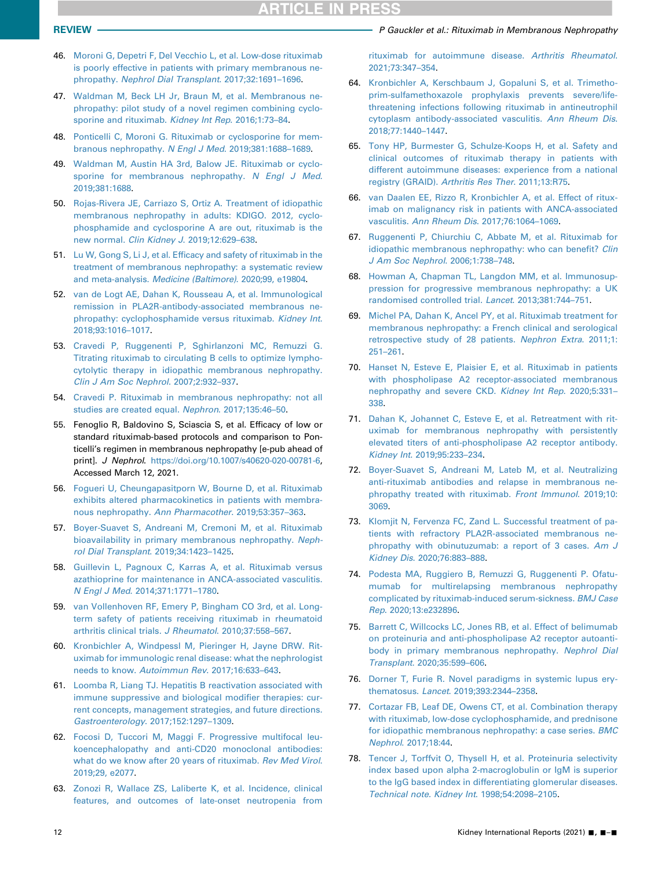- <span id="page-11-1"></span>46. [Moroni G, Depetri F, Del Vecchio L, et al. Low-dose rituximab](http://refhub.elsevier.com/S2468-0249(20)31869-6/sref47) [is poorly effective in patients with primary membranous ne](http://refhub.elsevier.com/S2468-0249(20)31869-6/sref47)phropathy. [Nephrol Dial Transplant](http://refhub.elsevier.com/S2468-0249(20)31869-6/sref47). 2017;32:1691–1696.
- <span id="page-11-2"></span>47. [Waldman M, Beck LH Jr, Braun M, et al. Membranous ne](http://refhub.elsevier.com/S2468-0249(20)31869-6/sref48)[phropathy: pilot study of a novel regimen combining cyclo](http://refhub.elsevier.com/S2468-0249(20)31869-6/sref48)[sporine and rituximab.](http://refhub.elsevier.com/S2468-0249(20)31869-6/sref48) Kidney Int Rep. 2016;1:73-84.
- <span id="page-11-6"></span>48. [Ponticelli C, Moroni G. Rituximab or cyclosporine for mem](http://refhub.elsevier.com/S2468-0249(20)31869-6/sref49)[branous nephropathy.](http://refhub.elsevier.com/S2468-0249(20)31869-6/sref49) N Engl J Med. 2019;381:1688–1689.
- <span id="page-11-7"></span>49. [Waldman M, Austin HA 3rd, Balow JE. Rituximab or cyclo](http://refhub.elsevier.com/S2468-0249(20)31869-6/sref50)[sporine for membranous nephropathy.](http://refhub.elsevier.com/S2468-0249(20)31869-6/sref50) N Engl J Med. [2019;381:1688.](http://refhub.elsevier.com/S2468-0249(20)31869-6/sref50)
- <span id="page-11-8"></span>50. [Rojas-Rivera JE, Carriazo S, Ortiz A. Treatment of idiopathic](http://refhub.elsevier.com/S2468-0249(20)31869-6/sref51) [membranous nephropathy in adults: KDIGO. 2012, cyclo](http://refhub.elsevier.com/S2468-0249(20)31869-6/sref51)[phosphamide and cyclosporine A are out, rituximab is the](http://refhub.elsevier.com/S2468-0249(20)31869-6/sref51) new normal. [Clin Kidney J](http://refhub.elsevier.com/S2468-0249(20)31869-6/sref51). 2019;12:629–638.
- <span id="page-11-9"></span>51. Lu W, Gong S, Li J, et al. Effi[cacy and safety of rituximab in the](http://refhub.elsevier.com/S2468-0249(20)31869-6/sref52) [treatment of membranous nephropathy: a systematic review](http://refhub.elsevier.com/S2468-0249(20)31869-6/sref52) and meta-analysis. [Medicine \(Baltimore\)](http://refhub.elsevier.com/S2468-0249(20)31869-6/sref52). 2020;99, e19804.
- <span id="page-11-10"></span>52. [van de Logt AE, Dahan K, Rousseau A, et al. Immunological](http://refhub.elsevier.com/S2468-0249(20)31869-6/sref53) [remission in PLA2R-antibody-associated membranous ne](http://refhub.elsevier.com/S2468-0249(20)31869-6/sref53)[phropathy: cyclophosphamide versus rituximab.](http://refhub.elsevier.com/S2468-0249(20)31869-6/sref53) Kidney Int. [2018;93:1016](http://refhub.elsevier.com/S2468-0249(20)31869-6/sref53)–1017.
- <span id="page-11-11"></span>53. [Cravedi P, Ruggenenti P, Sghirlanzoni MC, Remuzzi G.](http://refhub.elsevier.com/S2468-0249(20)31869-6/sref54) [Titrating rituximab to circulating B cells to optimize lympho](http://refhub.elsevier.com/S2468-0249(20)31869-6/sref54)[cytolytic therapy in idiopathic membranous nephropathy.](http://refhub.elsevier.com/S2468-0249(20)31869-6/sref54) [Clin J Am Soc Nephrol](http://refhub.elsevier.com/S2468-0249(20)31869-6/sref54). 2007;2:932–937.
- <span id="page-11-12"></span>54. [Cravedi P. Rituximab in membranous nephropathy: not all](http://refhub.elsevier.com/S2468-0249(20)31869-6/sref55) [studies are created equal.](http://refhub.elsevier.com/S2468-0249(20)31869-6/sref55) Nephron. 2017;135:46–50.
- <span id="page-11-13"></span>55. Fenoglio R, Baldovino S, Sciascia S, et al. Efficacy of low or standard rituximab-based protocols and comparison to Ponticelli's regimen in membranous nephropathy [e-pub ahead of print]. J Nephrol. [https://doi.org/10.1007/s40620-020-00781-6,](https://doi.org/10.1007/s40620-020-00781-6) Accessed March 12, 2021.
- <span id="page-11-14"></span>56. [Fogueri U, Cheungapasitporn W, Bourne D, et al. Rituximab](http://refhub.elsevier.com/S2468-0249(20)31869-6/sref57) [exhibits altered pharmacokinetics in patients with membra](http://refhub.elsevier.com/S2468-0249(20)31869-6/sref57)[nous nephropathy.](http://refhub.elsevier.com/S2468-0249(20)31869-6/sref57) Ann Pharmacother. 2019;53:357–363.
- <span id="page-11-15"></span>57. [Boyer-Suavet S, Andreani M, Cremoni M, et al. Rituximab](http://refhub.elsevier.com/S2468-0249(20)31869-6/sref58) [bioavailability in primary membranous nephropathy.](http://refhub.elsevier.com/S2468-0249(20)31869-6/sref58) Neph[rol Dial Transplant](http://refhub.elsevier.com/S2468-0249(20)31869-6/sref58). 2019;34:1423–1425.
- <span id="page-11-16"></span>58. [Guillevin L, Pagnoux C, Karras A, et al. Rituximab versus](http://refhub.elsevier.com/S2468-0249(20)31869-6/sref59) [azathioprine for maintenance in ANCA-associated vasculitis.](http://refhub.elsevier.com/S2468-0249(20)31869-6/sref59) N Engl J Med[. 2014;371:1771](http://refhub.elsevier.com/S2468-0249(20)31869-6/sref59)–1780.
- <span id="page-11-17"></span>59. [van Vollenhoven RF, Emery P, Bingham CO 3rd, et al. Long](http://refhub.elsevier.com/S2468-0249(20)31869-6/sref60)[term safety of patients receiving rituximab in rheumatoid](http://refhub.elsevier.com/S2468-0249(20)31869-6/sref60) [arthritis clinical trials.](http://refhub.elsevier.com/S2468-0249(20)31869-6/sref60) J Rheumatol. 2010;37:558–567.
- <span id="page-11-18"></span>60. [Kronbichler A, Windpessl M, Pieringer H, Jayne DRW. Rit](http://refhub.elsevier.com/S2468-0249(20)31869-6/sref61)[uximab for immunologic renal disease: what the nephrologist](http://refhub.elsevier.com/S2468-0249(20)31869-6/sref61) needs to know. [Autoimmun Rev](http://refhub.elsevier.com/S2468-0249(20)31869-6/sref61). 2017;16:633–643.
- <span id="page-11-19"></span>61. [Loomba R, Liang TJ. Hepatitis B reactivation associated with](http://refhub.elsevier.com/S2468-0249(20)31869-6/sref62) [immune suppressive and biological modi](http://refhub.elsevier.com/S2468-0249(20)31869-6/sref62)fier therapies: cur[rent concepts, management strategies, and future directions.](http://refhub.elsevier.com/S2468-0249(20)31869-6/sref62) [Gastroenterology](http://refhub.elsevier.com/S2468-0249(20)31869-6/sref62). 2017;152:1297–1309.
- <span id="page-11-20"></span>62. [Focosi D, Tuccori M, Maggi F. Progressive multifocal leu](http://refhub.elsevier.com/S2468-0249(20)31869-6/sref63)[koencephalopathy and anti-CD20 monoclonal antibodies:](http://refhub.elsevier.com/S2468-0249(20)31869-6/sref63) [what do we know after 20 years of rituximab.](http://refhub.elsevier.com/S2468-0249(20)31869-6/sref63) Rev Med Virol. [2019;29, e2077](http://refhub.elsevier.com/S2468-0249(20)31869-6/sref63).
- <span id="page-11-21"></span>63. [Zonozi R, Wallace ZS, Laliberte K, et al. Incidence, clinical](http://refhub.elsevier.com/S2468-0249(20)31869-6/sref64) [features, and outcomes of late-onset neutropenia from](http://refhub.elsevier.com/S2468-0249(20)31869-6/sref64)

REVIEW **PERICIPS REVIEW PERICIPS PERICIPS PGauckler et al.: Rituximab in Membranous Nephropathy** 

<span id="page-11-5"></span><span id="page-11-4"></span><span id="page-11-3"></span>[rituximab for autoimmune disease.](http://refhub.elsevier.com/S2468-0249(20)31869-6/sref64) Arthritis Rheumatol. [2021;73:347](http://refhub.elsevier.com/S2468-0249(20)31869-6/sref64)–354.

- <span id="page-11-22"></span>64. [Kronbichler A, Kerschbaum J, Gopaluni S, et al. Trimetho](http://refhub.elsevier.com/S2468-0249(20)31869-6/sref65)[prim-sulfamethoxazole prophylaxis prevents severe/life](http://refhub.elsevier.com/S2468-0249(20)31869-6/sref65)[threatening infections following rituximab in antineutrophil](http://refhub.elsevier.com/S2468-0249(20)31869-6/sref65) [cytoplasm antibody-associated vasculitis.](http://refhub.elsevier.com/S2468-0249(20)31869-6/sref65) Ann Rheum Dis. [2018;77:1440](http://refhub.elsevier.com/S2468-0249(20)31869-6/sref65)–1447.
- <span id="page-11-23"></span>65. [Tony HP, Burmester G, Schulze-Koops H, et al. Safety and](http://refhub.elsevier.com/S2468-0249(20)31869-6/sref66) [clinical outcomes of rituximab therapy in patients with](http://refhub.elsevier.com/S2468-0249(20)31869-6/sref66) [different autoimmune diseases: experience from a national](http://refhub.elsevier.com/S2468-0249(20)31869-6/sref66) registry (GRAID). [Arthritis Res Ther](http://refhub.elsevier.com/S2468-0249(20)31869-6/sref66). 2011;13:R75.
- <span id="page-11-24"></span>66. [van Daalen EE, Rizzo R, Kronbichler A, et al. Effect of ritux](http://refhub.elsevier.com/S2468-0249(20)31869-6/sref67)[imab on malignancy risk in patients with ANCA-associated](http://refhub.elsevier.com/S2468-0249(20)31869-6/sref67) vasculitis. [Ann Rheum Dis](http://refhub.elsevier.com/S2468-0249(20)31869-6/sref67). 2017;76:1064–1069.
- <span id="page-11-25"></span>67. [Ruggenenti P, Chiurchiu C, Abbate M, et al. Rituximab for](http://refhub.elsevier.com/S2468-0249(20)31869-6/sref68) [idiopathic membranous nephropathy: who can bene](http://refhub.elsevier.com/S2468-0249(20)31869-6/sref68)fit? Clin [J Am Soc Nephrol](http://refhub.elsevier.com/S2468-0249(20)31869-6/sref68). 2006;1:738–748.
- <span id="page-11-26"></span>68. [Howman A, Chapman TL, Langdon MM, et al. Immunosup](http://refhub.elsevier.com/S2468-0249(20)31869-6/sref69)[pression for progressive membranous nephropathy: a UK](http://refhub.elsevier.com/S2468-0249(20)31869-6/sref69) [randomised controlled trial.](http://refhub.elsevier.com/S2468-0249(20)31869-6/sref69) Lancet. 2013;381:744–751.
- <span id="page-11-27"></span>69. [Michel PA, Dahan K, Ancel PY, et al. Rituximab treatment for](http://refhub.elsevier.com/S2468-0249(20)31869-6/sref70) [membranous nephropathy: a French clinical and serological](http://refhub.elsevier.com/S2468-0249(20)31869-6/sref70) [retrospective study of 28 patients.](http://refhub.elsevier.com/S2468-0249(20)31869-6/sref70) Nephron Extra. 2011;1: [251](http://refhub.elsevier.com/S2468-0249(20)31869-6/sref70)–261.
- <span id="page-11-28"></span>70. [Hanset N, Esteve E, Plaisier E, et al. Rituximab in patients](http://refhub.elsevier.com/S2468-0249(20)31869-6/sref71) [with phospholipase A2 receptor-associated membranous](http://refhub.elsevier.com/S2468-0249(20)31869-6/sref71) [nephropathy and severe CKD.](http://refhub.elsevier.com/S2468-0249(20)31869-6/sref71) Kidney Int Rep. 2020;5:331– [338](http://refhub.elsevier.com/S2468-0249(20)31869-6/sref71).
- <span id="page-11-29"></span>71. [Dahan K, Johannet C, Esteve E, et al. Retreatment with rit](http://refhub.elsevier.com/S2468-0249(20)31869-6/sref72)[uximab for membranous nephropathy with persistently](http://refhub.elsevier.com/S2468-0249(20)31869-6/sref72) [elevated titers of anti-phospholipase A2 receptor antibody.](http://refhub.elsevier.com/S2468-0249(20)31869-6/sref72) Kidney Int[. 2019;95:233](http://refhub.elsevier.com/S2468-0249(20)31869-6/sref72)–234.
- <span id="page-11-30"></span>72. [Boyer-Suavet S, Andreani M, Lateb M, et al. Neutralizing](http://refhub.elsevier.com/S2468-0249(20)31869-6/sref73) [anti-rituximab antibodies and relapse in membranous ne](http://refhub.elsevier.com/S2468-0249(20)31869-6/sref73)[phropathy treated with rituximab.](http://refhub.elsevier.com/S2468-0249(20)31869-6/sref73) Front Immunol. 2019;10: [3069.](http://refhub.elsevier.com/S2468-0249(20)31869-6/sref73)
- <span id="page-11-31"></span>73. [Klomjit N, Fervenza FC, Zand L. Successful treatment of pa](http://refhub.elsevier.com/S2468-0249(20)31869-6/sref74)[tients with refractory PLA2R-associated membranous ne](http://refhub.elsevier.com/S2468-0249(20)31869-6/sref74)[phropathy with obinutuzumab: a report of 3 cases.](http://refhub.elsevier.com/S2468-0249(20)31869-6/sref74) Am J Kidney Dis[. 2020;76:883](http://refhub.elsevier.com/S2468-0249(20)31869-6/sref74)–888.
- <span id="page-11-32"></span>74. [Podesta MA, Ruggiero B, Remuzzi G, Ruggenenti P. Ofatu](http://refhub.elsevier.com/S2468-0249(20)31869-6/sref75)[mumab for multirelapsing membranous nephropathy](http://refhub.elsevier.com/S2468-0249(20)31869-6/sref75) [complicated by rituximab-induced serum-sickness.](http://refhub.elsevier.com/S2468-0249(20)31869-6/sref75) BMJ Case Rep[. 2020;13:e232896.](http://refhub.elsevier.com/S2468-0249(20)31869-6/sref75)
- <span id="page-11-33"></span>75. [Barrett C, Willcocks LC, Jones RB, et al. Effect of belimumab](http://refhub.elsevier.com/S2468-0249(20)31869-6/sref76) [on proteinuria and anti-phospholipase A2 receptor autoanti](http://refhub.elsevier.com/S2468-0249(20)31869-6/sref76)[body in primary membranous nephropathy.](http://refhub.elsevier.com/S2468-0249(20)31869-6/sref76) Nephrol Dial Transplant[. 2020;35:599](http://refhub.elsevier.com/S2468-0249(20)31869-6/sref76)–606.
- <span id="page-11-34"></span>76. [Dorner T, Furie R. Novel paradigms in systemic lupus ery](http://refhub.elsevier.com/S2468-0249(20)31869-6/sref77)thematosus. Lancet[. 2019;393:2344](http://refhub.elsevier.com/S2468-0249(20)31869-6/sref77)–2358.
- <span id="page-11-35"></span>77. [Cortazar FB, Leaf DE, Owens CT, et al. Combination therapy](http://refhub.elsevier.com/S2468-0249(20)31869-6/sref78) [with rituximab, low-dose cyclophosphamide, and prednisone](http://refhub.elsevier.com/S2468-0249(20)31869-6/sref78) [for idiopathic membranous nephropathy: a case series.](http://refhub.elsevier.com/S2468-0249(20)31869-6/sref78) BMC Nephrol[. 2017;18:44](http://refhub.elsevier.com/S2468-0249(20)31869-6/sref78).
- <span id="page-11-0"></span>78. [Tencer J, Torffvit O, Thysell H, et al. Proteinuria selectivity](http://refhub.elsevier.com/S2468-0249(20)31869-6/sref79) [index based upon alpha 2-macroglobulin or IgM is superior](http://refhub.elsevier.com/S2468-0249(20)31869-6/sref79) [to the IgG based index in differentiating glomerular diseases.](http://refhub.elsevier.com/S2468-0249(20)31869-6/sref79) [Technical note. Kidney Int](http://refhub.elsevier.com/S2468-0249(20)31869-6/sref79). 1998;54:2098–2105.